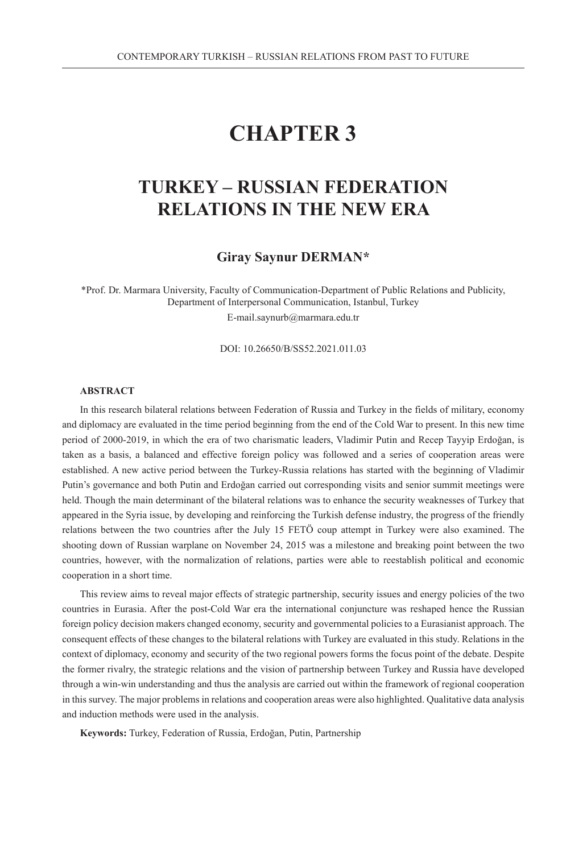# **CHAPTER 3**

# **TURKEY – RUSSIAN FEDERATION RELATIONS IN THE NEW ERA**

## **Giray Saynur DERMAN\***

\*Prof. Dr. Marmara University, Faculty of Communication-Department of Public Relations and Publicity, Department of Interpersonal Communication, Istanbul, Turkey E-mail.saynurb@marmara.edu.tr

DOI: 10.26650/B/SS52.2021.011.03

#### **ABSTRACT**

In this research bilateral relations between Federation of Russia and Turkey in the fields of military, economy and diplomacy are evaluated in the time period beginning from the end of the Cold War to present. In this new time period of 2000-2019, in which the era of two charismatic leaders, Vladimir Putin and Recep Tayyip Erdoğan, is taken as a basis, a balanced and effective foreign policy was followed and a series of cooperation areas were established. A new active period between the Turkey-Russia relations has started with the beginning of Vladimir Putin's governance and both Putin and Erdoğan carried out corresponding visits and senior summit meetings were held. Though the main determinant of the bilateral relations was to enhance the security weaknesses of Turkey that appeared in the Syria issue, by developing and reinforcing the Turkish defense industry, the progress of the friendly relations between the two countries after the July 15 FETÖ coup attempt in Turkey were also examined. The shooting down of Russian warplane on November 24, 2015 was a milestone and breaking point between the two countries, however, with the normalization of relations, parties were able to reestablish political and economic cooperation in a short time.

This review aims to reveal major effects of strategic partnership, security issues and energy policies of the two countries in Eurasia. After the post-Cold War era the international conjuncture was reshaped hence the Russian foreign policy decision makers changed economy, security and governmental policies to a Eurasianist approach. The consequent effects of these changes to the bilateral relations with Turkey are evaluated in this study. Relations in the context of diplomacy, economy and security of the two regional powers forms the focus point of the debate. Despite the former rivalry, the strategic relations and the vision of partnership between Turkey and Russia have developed through a win-win understanding and thus the analysis are carried out within the framework of regional cooperation in this survey. The major problems in relations and cooperation areas were also highlighted. Qualitative data analysis and induction methods were used in the analysis.

**Keywords:** Turkey, Federation of Russia, Erdoğan, Putin, Partnership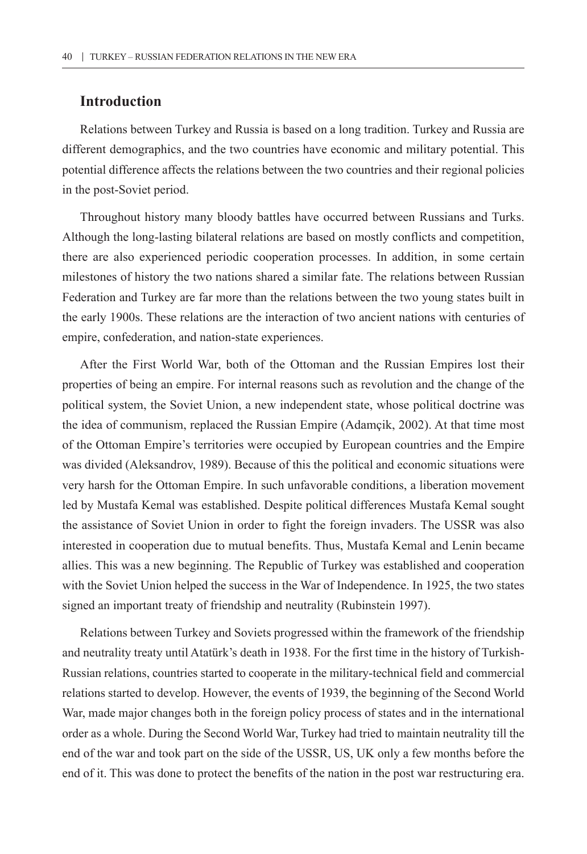## **Introduction**

Relations between Turkey and Russia is based on a long tradition. Turkey and Russia are different demographics, and the two countries have economic and military potential. This potential difference affects the relations between the two countries and their regional policies in the post-Soviet period.

Throughout history many bloody battles have occurred between Russians and Turks. Although the long-lasting bilateral relations are based on mostly conflicts and competition, there are also experienced periodic cooperation processes. In addition, in some certain milestones of history the two nations shared a similar fate. The relations between Russian Federation and Turkey are far more than the relations between the two young states built in the early 1900s. These relations are the interaction of two ancient nations with centuries of empire, confederation, and nation-state experiences.

After the First World War, both of the Ottoman and the Russian Empires lost their properties of being an empire. For internal reasons such as revolution and the change of the political system, the Soviet Union, a new independent state, whose political doctrine was the idea of communism, replaced the Russian Empire (Adamçik, 2002). At that time most of the Ottoman Empire's territories were occupied by European countries and the Empire was divided (Aleksandrov, 1989). Because of this the political and economic situations were very harsh for the Ottoman Empire. In such unfavorable conditions, a liberation movement led by Mustafa Kemal was established. Despite political differences Mustafa Kemal sought the assistance of Soviet Union in order to fight the foreign invaders. The USSR was also interested in cooperation due to mutual benefits. Thus, Mustafa Kemal and Lenin became allies. This was a new beginning. The Republic of Turkey was established and cooperation with the Soviet Union helped the success in the War of Independence. In 1925, the two states signed an important treaty of friendship and neutrality (Rubinstein 1997).

Relations between Turkey and Soviets progressed within the framework of the friendship and neutrality treaty until Atatürk's death in 1938. For the first time in the history of Turkish-Russian relations, countries started to cooperate in the military-technical field and commercial relations started to develop. However, the events of 1939, the beginning of the Second World War, made major changes both in the foreign policy process of states and in the international order as a whole. During the Second World War, Turkey had tried to maintain neutrality till the end of the war and took part on the side of the USSR, US, UK only a few months before the end of it. This was done to protect the benefits of the nation in the post war restructuring era.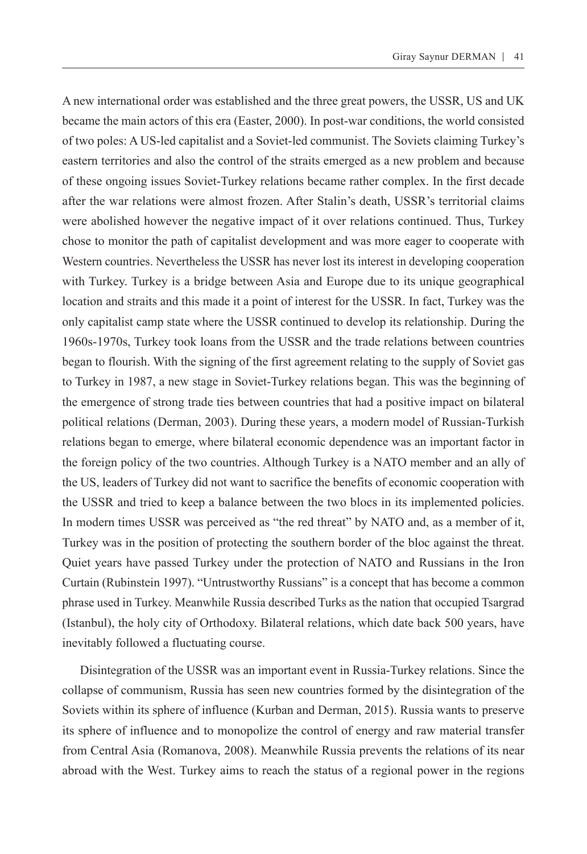A new international order was established and the three great powers, the USSR, US and UK became the main actors of this era (Easter, 2000). In post-war conditions, the world consisted of two poles: A US-led capitalist and a Soviet-led communist. The Soviets claiming Turkey's eastern territories and also the control of the straits emerged as a new problem and because of these ongoing issues Soviet-Turkey relations became rather complex. In the first decade after the war relations were almost frozen. After Stalin's death, USSR's territorial claims were abolished however the negative impact of it over relations continued. Thus, Turkey chose to monitor the path of capitalist development and was more eager to cooperate with Western countries. Nevertheless the USSR has never lost its interest in developing cooperation with Turkey. Turkey is a bridge between Asia and Europe due to its unique geographical location and straits and this made it a point of interest for the USSR. In fact, Turkey was the only capitalist camp state where the USSR continued to develop its relationship. During the 1960s-1970s, Turkey took loans from the USSR and the trade relations between countries began to flourish. With the signing of the first agreement relating to the supply of Soviet gas to Turkey in 1987, a new stage in Soviet-Turkey relations began. This was the beginning of the emergence of strong trade ties between countries that had a positive impact on bilateral political relations (Derman, 2003). During these years, a modern model of Russian-Turkish relations began to emerge, where bilateral economic dependence was an important factor in the foreign policy of the two countries. Although Turkey is a NATO member and an ally of the US, leaders of Turkey did not want to sacrifice the benefits of economic cooperation with the USSR and tried to keep a balance between the two blocs in its implemented policies. In modern times USSR was perceived as "the red threat" by NATO and, as a member of it, Turkey was in the position of protecting the southern border of the bloc against the threat. Quiet years have passed Turkey under the protection of NATO and Russians in the Iron Curtain (Rubinstein 1997). "Untrustworthy Russians" is a concept that has become a common phrase used in Turkey. Meanwhile Russia described Turks as the nation that occupied Tsargrad (Istanbul), the holy city of Orthodoxy. Bilateral relations, which date back 500 years, have inevitably followed a fluctuating course.

Disintegration of the USSR was an important event in Russia-Turkey relations. Since the collapse of communism, Russia has seen new countries formed by the disintegration of the Soviets within its sphere of influence (Kurban and Derman, 2015). Russia wants to preserve its sphere of influence and to monopolize the control of energy and raw material transfer from Central Asia (Romanova, 2008). Meanwhile Russia prevents the relations of its near abroad with the West. Turkey aims to reach the status of a regional power in the regions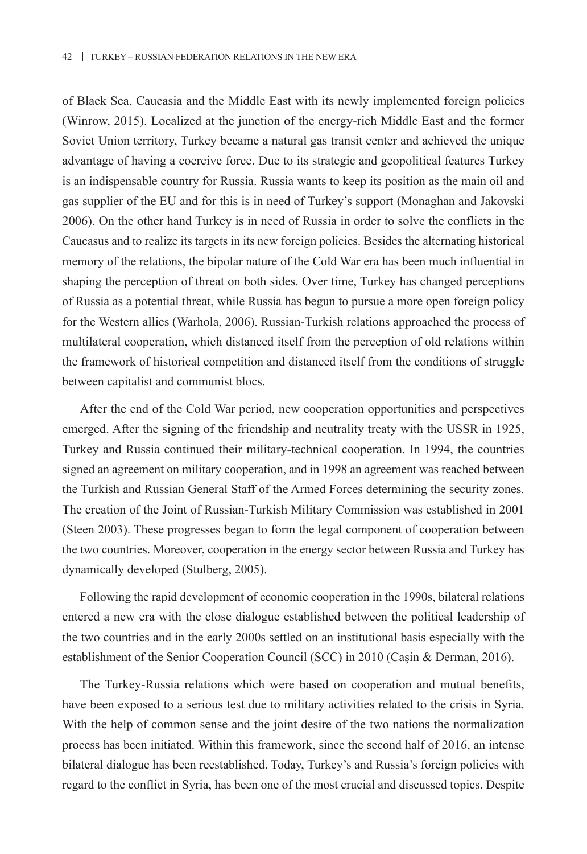of Black Sea, Caucasia and the Middle East with its newly implemented foreign policies (Winrow, 2015). Localized at the junction of the energy-rich Middle East and the former Soviet Union territory, Turkey became a natural gas transit center and achieved the unique advantage of having a coercive force. Due to its strategic and geopolitical features Turkey is an indispensable country for Russia. Russia wants to keep its position as the main oil and gas supplier of the EU and for this is in need of Turkey's support (Monaghan and Jakovski 2006). On the other hand Turkey is in need of Russia in order to solve the conflicts in the Caucasus and to realize its targets in its new foreign policies. Besides the alternating historical memory of the relations, the bipolar nature of the Cold War era has been much influential in shaping the perception of threat on both sides. Over time, Turkey has changed perceptions of Russia as a potential threat, while Russia has begun to pursue a more open foreign policy for the Western allies (Warhola, 2006). Russian-Turkish relations approached the process of multilateral cooperation, which distanced itself from the perception of old relations within the framework of historical competition and distanced itself from the conditions of struggle between capitalist and communist blocs.

After the end of the Cold War period, new cooperation opportunities and perspectives emerged. After the signing of the friendship and neutrality treaty with the USSR in 1925, Turkey and Russia continued their military-technical cooperation. In 1994, the countries signed an agreement on military cooperation, and in 1998 an agreement was reached between the Turkish and Russian General Staff of the Armed Forces determining the security zones. The creation of the Joint of Russian-Turkish Military Commission was established in 2001 (Steen 2003). These progresses began to form the legal component of cooperation between the two countries. Moreover, cooperation in the energy sector between Russia and Turkey has dynamically developed (Stulberg, 2005).

Following the rapid development of economic cooperation in the 1990s, bilateral relations entered a new era with the close dialogue established between the political leadership of the two countries and in the early 2000s settled on an institutional basis especially with the establishment of the Senior Cooperation Council (SCC) in 2010 (Caşin & Derman, 2016).

The Turkey-Russia relations which were based on cooperation and mutual benefits, have been exposed to a serious test due to military activities related to the crisis in Syria. With the help of common sense and the joint desire of the two nations the normalization process has been initiated. Within this framework, since the second half of 2016, an intense bilateral dialogue has been reestablished. Today, Turkey's and Russia's foreign policies with regard to the conflict in Syria, has been one of the most crucial and discussed topics. Despite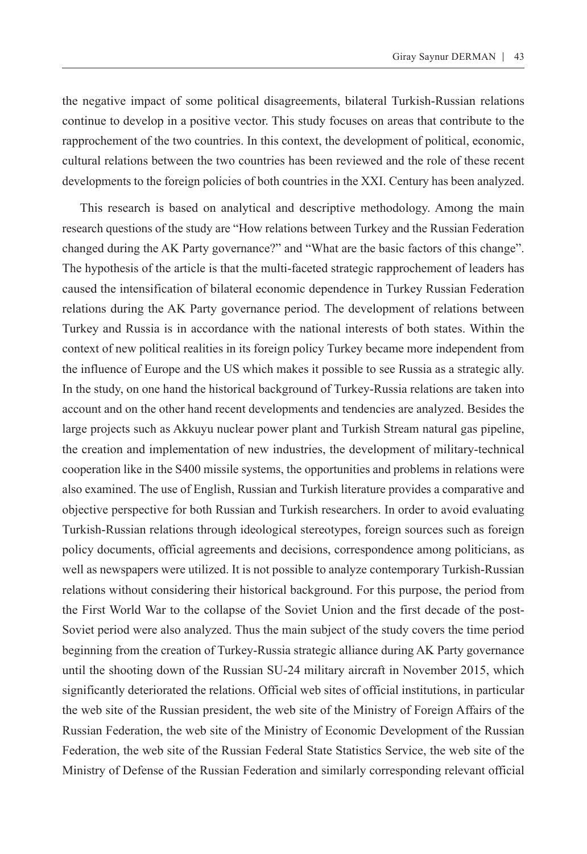the negative impact of some political disagreements, bilateral Turkish-Russian relations continue to develop in a positive vector. This study focuses on areas that contribute to the rapprochement of the two countries. In this context, the development of political, economic, cultural relations between the two countries has been reviewed and the role of these recent developments to the foreign policies of both countries in the XXI. Century has been analyzed.

This research is based on analytical and descriptive methodology. Among the main research questions of the study are "How relations between Turkey and the Russian Federation changed during the AK Party governance?" and "What are the basic factors of this change". The hypothesis of the article is that the multi-faceted strategic rapprochement of leaders has caused the intensification of bilateral economic dependence in Turkey Russian Federation relations during the AK Party governance period. The development of relations between Turkey and Russia is in accordance with the national interests of both states. Within the context of new political realities in its foreign policy Turkey became more independent from the influence of Europe and the US which makes it possible to see Russia as a strategic ally. In the study, on one hand the historical background of Turkey-Russia relations are taken into account and on the other hand recent developments and tendencies are analyzed. Besides the large projects such as Akkuyu nuclear power plant and Turkish Stream natural gas pipeline, the creation and implementation of new industries, the development of military-technical cooperation like in the S400 missile systems, the opportunities and problems in relations were also examined. The use of English, Russian and Turkish literature provides a comparative and objective perspective for both Russian and Turkish researchers. In order to avoid evaluating Turkish-Russian relations through ideological stereotypes, foreign sources such as foreign policy documents, official agreements and decisions, correspondence among politicians, as well as newspapers were utilized. It is not possible to analyze contemporary Turkish-Russian relations without considering their historical background. For this purpose, the period from the First World War to the collapse of the Soviet Union and the first decade of the post-Soviet period were also analyzed. Thus the main subject of the study covers the time period beginning from the creation of Turkey-Russia strategic alliance during AK Party governance until the shooting down of the Russian SU-24 military aircraft in November 2015, which significantly deteriorated the relations. Official web sites of official institutions, in particular the web site of the Russian president, the web site of the Ministry of Foreign Affairs of the Russian Federation, the web site of the Ministry of Economic Development of the Russian Federation, the web site of the Russian Federal State Statistics Service, the web site of the Ministry of Defense of the Russian Federation and similarly corresponding relevant official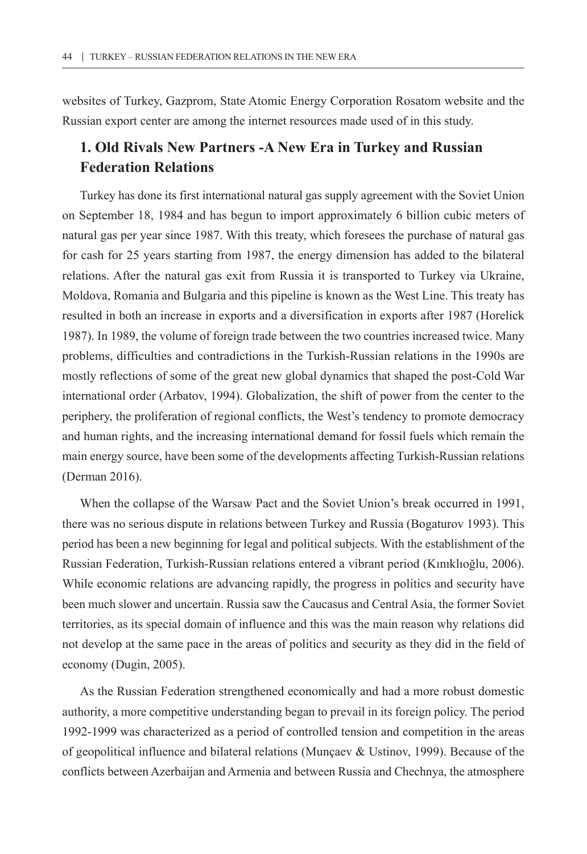websites of Turkey, Gazprom, State Atomic Energy Corporation Rosatom website and the Russian export center are among the internet resources made used of in this study.

## **1. Old Rivals New Partners -A New Era in Turkey and Russian Federation Relations**

Turkey has done its first international natural gas supply agreement with the Soviet Union on September 18, 1984 and has begun to import approximately 6 billion cubic meters of natural gas per year since 1987. With this treaty, which foresees the purchase of natural gas for cash for 25 years starting from 1987, the energy dimension has added to the bilateral relations. After the natural gas exit from Russia it is transported to Turkey via Ukraine, Moldova, Romania and Bulgaria and this pipeline is known as the West Line. This treaty has resulted in both an increase in exports and a diversification in exports after 1987 (Horelick 1987). In 1989, the volume of foreign trade between the two countries increased twice. Many problems, difficulties and contradictions in the Turkish-Russian relations in the 1990s are mostly reflections of some of the great new global dynamics that shaped the post-Cold War international order (Arbatov, 1994). Globalization, the shift of power from the center to the periphery, the proliferation of regional conflicts, the West's tendency to promote democracy and human rights, and the increasing international demand for fossil fuels which remain the main energy source, have been some of the developments affecting Turkish-Russian relations (Derman 2016).

When the collapse of the Warsaw Pact and the Soviet Union's break occurred in 1991, there was no serious dispute in relations between Turkey and Russia (Bogaturov 1993). This period has been a new beginning for legal and political subjects. With the establishment of the Russian Federation, Turkish-Russian relations entered a vibrant period (Kınıklıoğlu, 2006). While economic relations are advancing rapidly, the progress in politics and security have been much slower and uncertain. Russia saw the Caucasus and Central Asia, the former Soviet territories, as its special domain of influence and this was the main reason why relations did not develop at the same pace in the areas of politics and security as they did in the field of economy (Dugin, 2005).

As the Russian Federation strengthened economically and had a more robust domestic authority, a more competitive understanding began to prevail in its foreign policy. The period 1992-1999 was characterized as a period of controlled tension and competition in the areas of geopolitical influence and bilateral relations (Munçaev & Ustinov, 1999). Because of the conflicts between Azerbaijan and Armenia and between Russia and Chechnya, the atmosphere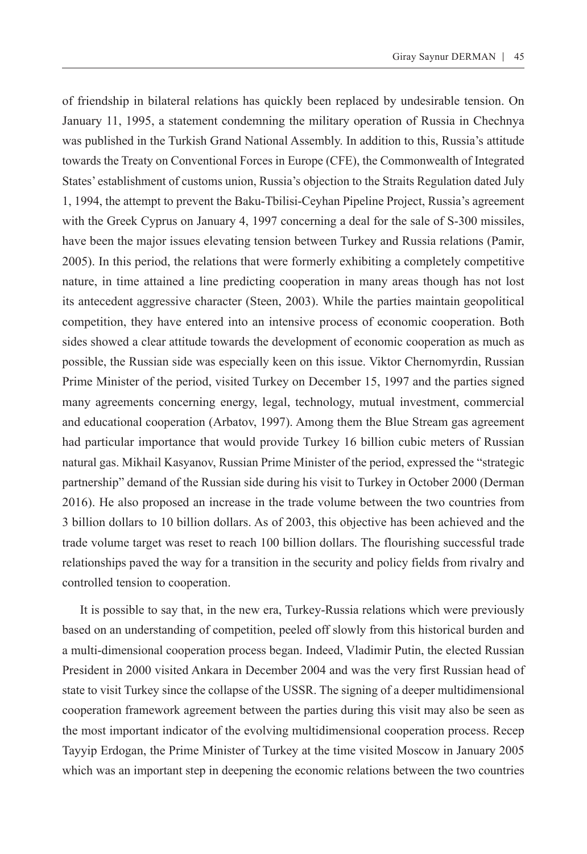of friendship in bilateral relations has quickly been replaced by undesirable tension. On January 11, 1995, a statement condemning the military operation of Russia in Chechnya was published in the Turkish Grand National Assembly. In addition to this, Russia's attitude towards the Treaty on Conventional Forces in Europe (CFE), the Commonwealth of Integrated States' establishment of customs union, Russia's objection to the Straits Regulation dated July 1, 1994, the attempt to prevent the Baku-Tbilisi-Ceyhan Pipeline Project, Russia's agreement with the Greek Cyprus on January 4, 1997 concerning a deal for the sale of S-300 missiles, have been the major issues elevating tension between Turkey and Russia relations (Pamir, 2005). In this period, the relations that were formerly exhibiting a completely competitive nature, in time attained a line predicting cooperation in many areas though has not lost its antecedent aggressive character (Steen, 2003). While the parties maintain geopolitical competition, they have entered into an intensive process of economic cooperation. Both sides showed a clear attitude towards the development of economic cooperation as much as possible, the Russian side was especially keen on this issue. Viktor Chernomyrdin, Russian Prime Minister of the period, visited Turkey on December 15, 1997 and the parties signed many agreements concerning energy, legal, technology, mutual investment, commercial and educational cooperation (Arbatov, 1997). Among them the Blue Stream gas agreement had particular importance that would provide Turkey 16 billion cubic meters of Russian natural gas. Mikhail Kasyanov, Russian Prime Minister of the period, expressed the "strategic partnership" demand of the Russian side during his visit to Turkey in October 2000 (Derman 2016). He also proposed an increase in the trade volume between the two countries from 3 billion dollars to 10 billion dollars. As of 2003, this objective has been achieved and the trade volume target was reset to reach 100 billion dollars. The flourishing successful trade relationships paved the way for a transition in the security and policy fields from rivalry and controlled tension to cooperation.

It is possible to say that, in the new era, Turkey-Russia relations which were previously based on an understanding of competition, peeled off slowly from this historical burden and a multi-dimensional cooperation process began. Indeed, Vladimir Putin, the elected Russian President in 2000 visited Ankara in December 2004 and was the very first Russian head of state to visit Turkey since the collapse of the USSR. The signing of a deeper multidimensional cooperation framework agreement between the parties during this visit may also be seen as the most important indicator of the evolving multidimensional cooperation process. Recep Tayyip Erdogan, the Prime Minister of Turkey at the time visited Moscow in January 2005 which was an important step in deepening the economic relations between the two countries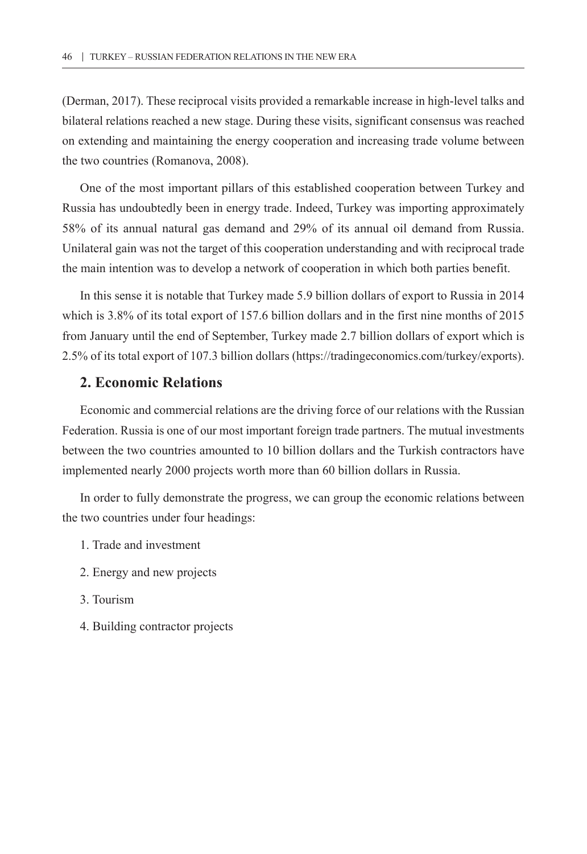(Derman, 2017). These reciprocal visits provided a remarkable increase in high-level talks and bilateral relations reached a new stage. During these visits, significant consensus was reached on extending and maintaining the energy cooperation and increasing trade volume between the two countries (Romanova, 2008).

One of the most important pillars of this established cooperation between Turkey and Russia has undoubtedly been in energy trade. Indeed, Turkey was importing approximately 58% of its annual natural gas demand and 29% of its annual oil demand from Russia. Unilateral gain was not the target of this cooperation understanding and with reciprocal trade the main intention was to develop a network of cooperation in which both parties benefit.

In this sense it is notable that Turkey made 5.9 billion dollars of export to Russia in 2014 which is 3.8% of its total export of 157.6 billion dollars and in the first nine months of 2015 from January until the end of September, Turkey made 2.7 billion dollars of export which is 2.5% of its total export of 107.3 billion dollars [\(https://tradingeconomics.com/turkey/exports](https://tradingeconomics.com/turkey/exports)).

## **2. Economic Relations**

Economic and commercial relations are the driving force of our relations with the Russian Federation. Russia is one of our most important foreign trade partners. The mutual investments between the two countries amounted to 10 billion dollars and the Turkish contractors have implemented nearly 2000 projects worth more than 60 billion dollars in Russia.

In order to fully demonstrate the progress, we can group the economic relations between the two countries under four headings:

- 1. Trade and investment
- 2. Energy and new projects
- 3. Tourism
- 4. Building contractor projects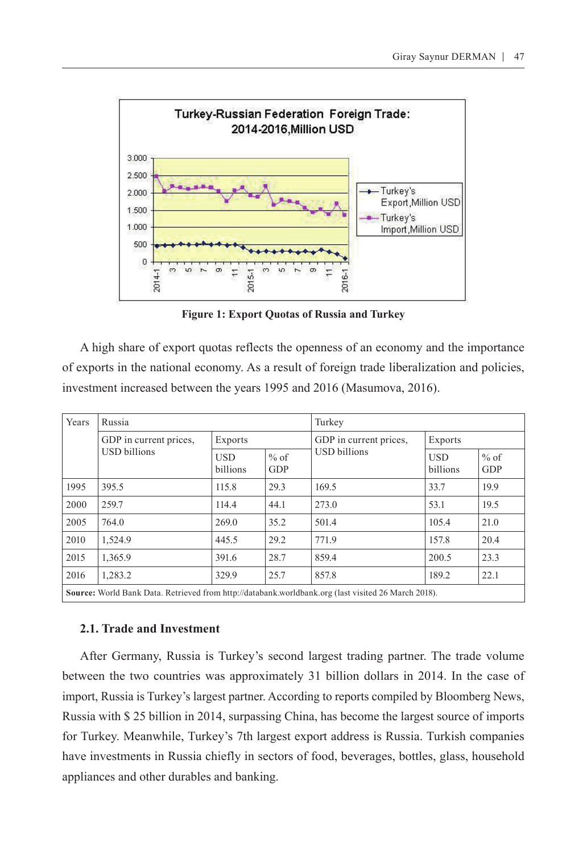

**Figure 1: Export Quotas of Russia and Turkey**

A high share of export quotas reflects the openness of an economy and the importance of exports in the national economy. As a result of foreign trade liberalization and policies, investment increased between the years 1995 and 2016 (Masumova, 2016).

| Years                                                                                               | Russia                                        |                        |                      | Turkey                 |                        |                      |  |  |  |
|-----------------------------------------------------------------------------------------------------|-----------------------------------------------|------------------------|----------------------|------------------------|------------------------|----------------------|--|--|--|
|                                                                                                     | GDP in current prices,<br><b>USD</b> billions | Exports                |                      | GDP in current prices, | Exports                |                      |  |  |  |
|                                                                                                     |                                               | <b>USD</b><br>billions | $%$ of<br><b>GDP</b> | <b>USD</b> billions    | <b>USD</b><br>billions | $%$ of<br><b>GDP</b> |  |  |  |
| 1995                                                                                                | 395.5                                         | 115.8                  | 29.3                 | 169.5                  | 33.7                   | 19.9                 |  |  |  |
| 2000                                                                                                | 259.7                                         | 114.4                  | 44.1                 | 273.0                  | 53.1                   | 19.5                 |  |  |  |
| 2005                                                                                                | 764.0                                         | 269.0                  | 35.2                 | 501.4                  | 105.4                  | 21.0                 |  |  |  |
| 2010                                                                                                | 1,524.9                                       | 445.5                  | 29.2                 | 771.9                  | 157.8                  | 20.4                 |  |  |  |
| 2015                                                                                                | 1,365.9                                       | 391.6                  | 28.7                 | 859.4                  | 200.5                  | 23.3                 |  |  |  |
| 2016                                                                                                | 1,283.2                                       | 329.9                  | 25.7                 | 857.8                  | 189.2                  | 22.1                 |  |  |  |
| Source: World Bank Data. Retrieved from http://databank.worldbank.org (last visited 26 March 2018). |                                               |                        |                      |                        |                        |                      |  |  |  |

#### **2.1. Trade and Investment**

After Germany, Russia is Turkey's second largest trading partner. The trade volume between the two countries was approximately 31 billion dollars in 2014. In the case of import, Russia is Turkey's largest partner. According to reports compiled by Bloomberg News, Russia with \$ 25 billion in 2014, surpassing China, has become the largest source of imports for Turkey. Meanwhile, Turkey's 7th largest export address is Russia. Turkish companies have investments in Russia chiefly in sectors of food, beverages, bottles, glass, household appliances and other durables and banking.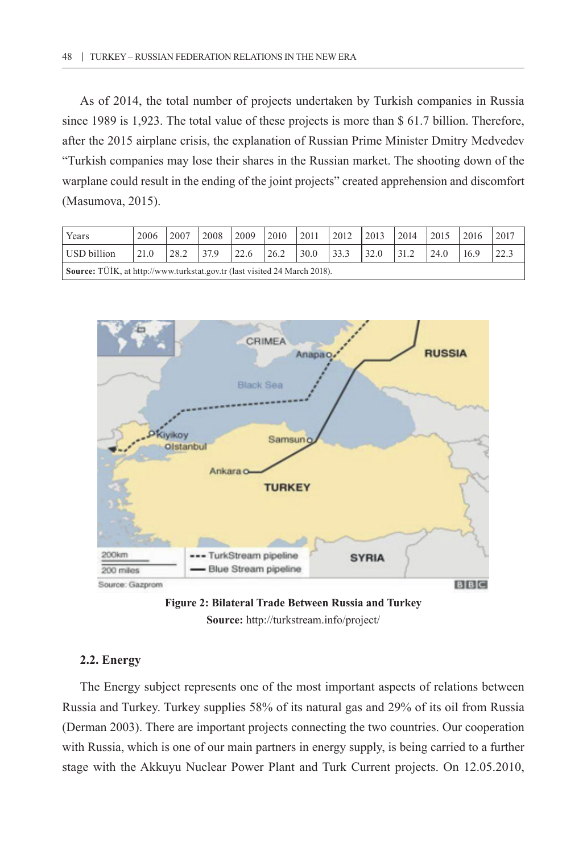As of 2014, the total number of projects undertaken by Turkish companies in Russia since 1989 is 1,923. The total value of these projects is more than \$ 61.7 billion. Therefore, after the 2015 airplane crisis, the explanation of Russian Prime Minister Dmitry Medvedev "Turkish companies may lose their shares in the Russian market. The shooting down of the warplane could result in the ending of the joint projects" created apprehension and discomfort (Masumova, 2015).

| Years                                                                     | 2006 | 2007 | 2008 | 2009 | 2010 | 2011 | 2012 | 2013 | 2014 | $\vert$ 2015 | 2016 | 2017 |
|---------------------------------------------------------------------------|------|------|------|------|------|------|------|------|------|--------------|------|------|
| USD billion                                                               | 21.0 | 28.2 | 37.9 | 22.6 | 26.2 | 30.0 | 33.3 | 32.0 | 31.2 | 24.0         | 16.9 |      |
| Source: TÜİK, at http://www.turkstat.gov.tr (last visited 24 March 2018). |      |      |      |      |      |      |      |      |      |              |      |      |





#### **2.2. Energy**

The Energy subject represents one of the most important aspects of relations between Russia and Turkey. Turkey supplies 58% of its natural gas and 29% of its oil from Russia (Derman 2003). There are important projects connecting the two countries. Our cooperation with Russia, which is one of our main partners in energy supply, is being carried to a further stage with the Akkuyu Nuclear Power Plant and Turk Current projects. On 12.05.2010,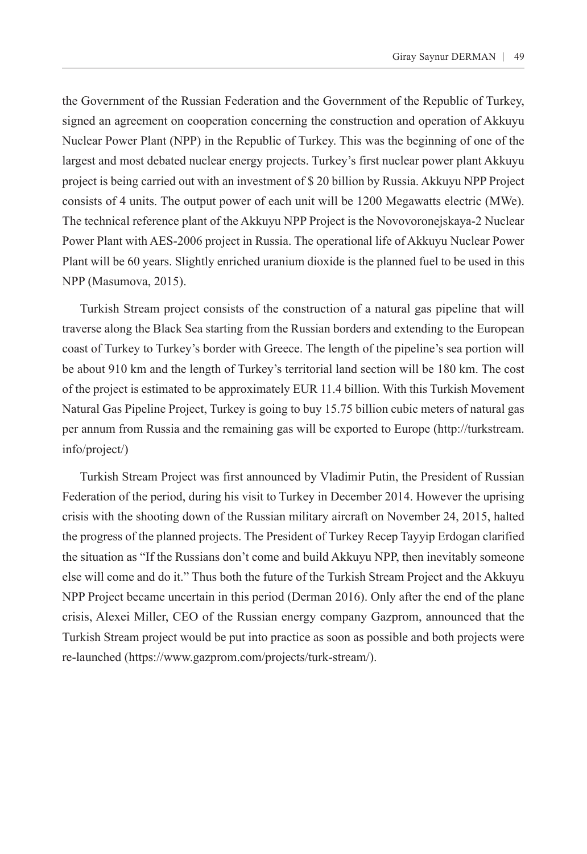the Government of the Russian Federation and the Government of the Republic of Turkey, signed an agreement on cooperation concerning the construction and operation of Akkuyu Nuclear Power Plant (NPP) in the Republic of Turkey. This was the beginning of one of the largest and most debated nuclear energy projects. Turkey's first nuclear power plant Akkuyu project is being carried out with an investment of \$ 20 billion by Russia. Akkuyu NPP Project consists of 4 units. The output power of each unit will be 1200 Megawatts electric (MWe). The technical reference plant of the Akkuyu NPP Project is the Novovoronejskaya-2 Nuclear Power Plant with AES-2006 project in Russia. The operational life of Akkuyu Nuclear Power Plant will be 60 years. Slightly enriched uranium dioxide is the planned fuel to be used in this NPP (Masumova, 2015).

Turkish Stream project consists of the construction of a natural gas pipeline that will traverse along the Black Sea starting from the Russian borders and extending to the European coast of Turkey to Turkey's border with Greece. The length of the pipeline's sea portion will be about 910 km and the length of Turkey's territorial land section will be 180 km. The cost of the project is estimated to be approximately EUR 11.4 billion. With this Turkish Movement Natural Gas Pipeline Project, Turkey is going to buy 15.75 billion cubic meters of natural gas per annum from Russia and the remaining gas will be exported to Europe (http://turkstream. info/project/)

Turkish Stream Project was first announced by Vladimir Putin, the President of Russian Federation of the period, during his visit to Turkey in December 2014. However the uprising crisis with the shooting down of the Russian military aircraft on November 24, 2015, halted the progress of the planned projects. The President of Turkey Recep Tayyip Erdogan clarified the situation as "If the Russians don't come and build Akkuyu NPP, then inevitably someone else will come and do it." Thus both the future of the Turkish Stream Project and the Akkuyu NPP Project became uncertain in this period (Derman 2016). Only after the end of the plane crisis, Alexei Miller, CEO of the Russian energy company Gazprom, announced that the Turkish Stream project would be put into practice as soon as possible and both projects were re-launched (https://www.gazprom.com/projects/turk-stream/).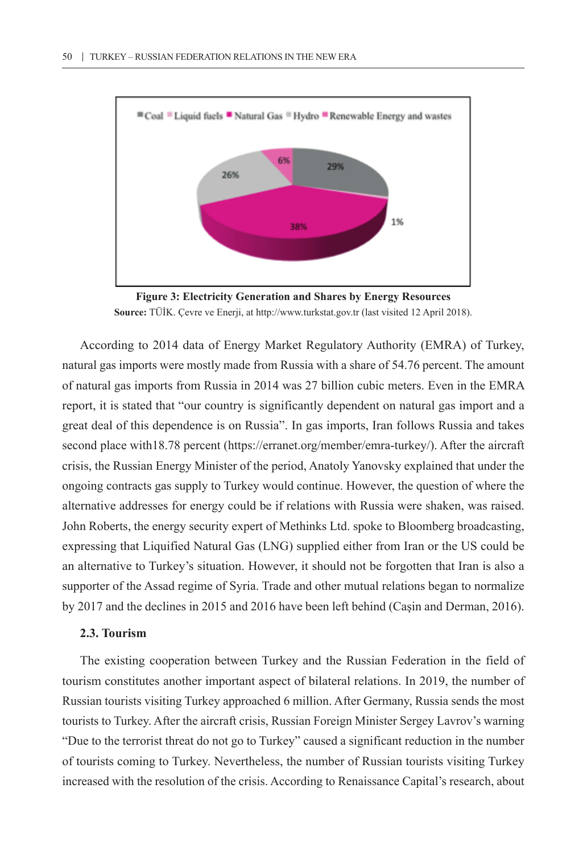

**Figure 3: Electricity Generation and Shares by Energy Resources Source:** TÜİK. Çevre ve Enerji, at http://www.turkstat.gov.tr (last visited 12 April 2018).

According to 2014 data of Energy Market Regulatory Authority (EMRA) of Turkey, natural gas imports were mostly made from Russia with a share of 54.76 percent. The amount of natural gas imports from Russia in 2014 was 27 billion cubic meters. Even in the EMRA report, it is stated that "our country is significantly dependent on natural gas import and a great deal of this dependence is on Russia". In gas imports, Iran follows Russia and takes second place with18.78 percent (https://erranet.org/member/emra-turkey/). After the aircraft crisis, the Russian Energy Minister of the period, Anatoly Yanovsky explained that under the ongoing contracts gas supply to Turkey would continue. However, the question of where the alternative addresses for energy could be if relations with Russia were shaken, was raised. John Roberts, the energy security expert of Methinks Ltd. spoke to Bloomberg broadcasting, expressing that Liquified Natural Gas (LNG) supplied either from Iran or the US could be an alternative to Turkey's situation. However, it should not be forgotten that Iran is also a supporter of the Assad regime of Syria. Trade and other mutual relations began to normalize by 2017 and the declines in 2015 and 2016 have been left behind (Caşin and Derman, 2016).

#### **2.3. Tourism**

The existing cooperation between Turkey and the Russian Federation in the field of tourism constitutes another important aspect of bilateral relations. In 2019, the number of Russian tourists visiting Turkey approached 6 million. After Germany, Russia sends the most tourists to Turkey. After the aircraft crisis, Russian Foreign Minister Sergey Lavrov's warning "Due to the terrorist threat do not go to Turkey" caused a significant reduction in the number of tourists coming to Turkey. Nevertheless, the number of Russian tourists visiting Turkey increased with the resolution of the crisis. According to Renaissance Capital's research, about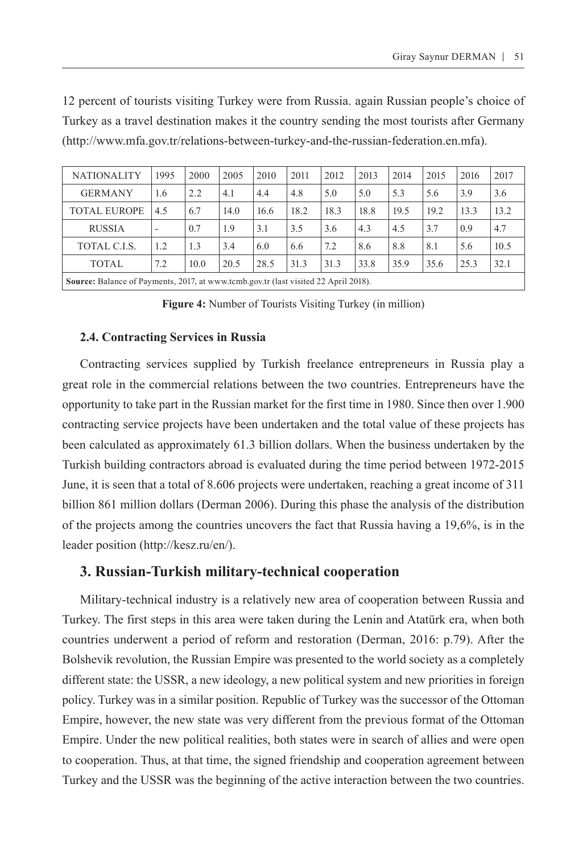| <b>NATIONALITY</b>                                                                         | 1995 | 2000 | 2005 | 2010 | 2011 | 2012 | 2013 | 2014 | 2015 | 2016 | 2017 |
|--------------------------------------------------------------------------------------------|------|------|------|------|------|------|------|------|------|------|------|
| <b>GERMANY</b>                                                                             | 1.6  | 2.2  | 4.1  | 4.4  | 4.8  | 5.0  | 5.0  | 5.3  | 5.6  | 3.9  | 3.6  |
| TOTAL EUROPE                                                                               | 4.5  | 6.7  | 14.0 | 16.6 | 18.2 | 18.3 | 18.8 | 19.5 | 19.2 | 13.3 | 13.2 |
| <b>RUSSIA</b>                                                                              | -    | 0.7  | 1.9  | 3.1  | 3.5  | 3.6  | 4.3  | 4.5  | 3.7  | 0.9  | 4.7  |
| TOTAL C.I.S.                                                                               | 1.2  | 1.3  | 3.4  | 6.0  | 6.6  | 7.2  | 8.6  | 8.8  | 8.1  | 5.6  | 10.5 |
| <b>TOTAL</b>                                                                               | 7.2  | 10.0 | 20.5 | 28.5 | 31.3 | 31.3 | 33.8 | 35.9 | 35.6 | 25.3 | 32.1 |
| <b>Source:</b> Balance of Payments, 2017, at www.tcmb.gov.tr (last visited 22 April 2018). |      |      |      |      |      |      |      |      |      |      |      |

12 percent of tourists visiting Turkey were from Russia. again Russian people's choice of Turkey as a travel destination makes it the country sending the most tourists after Germany (http://www.mfa.gov.tr/relations-between-turkey-and-the-russian-federation.en.mfa).

**Figure 4:** Number of Tourists Visiting Turkey (in million)

#### **2.4. Contracting Services in Russia**

Contracting services supplied by Turkish freelance entrepreneurs in Russia play a great role in the commercial relations between the two countries. Entrepreneurs have the opportunity to take part in the Russian market for the first time in 1980. Since then over 1.900 contracting service projects have been undertaken and the total value of these projects has been calculated as approximately 61.3 billion dollars. When the business undertaken by the Turkish building contractors abroad is evaluated during the time period between 1972-2015 June, it is seen that a total of 8.606 projects were undertaken, reaching a great income of 311 billion 861 million dollars (Derman 2006). During this phase the analysis of the distribution of the projects among the countries uncovers the fact that Russia having a 19,6%, is in the leader position (<http://kesz.ru/en/>).

## **3. Russian-Turkish military-technical cooperation**

Military-technical industry is a relatively new area of cooperation between Russia and Turkey. The first steps in this area were taken during the Lenin and Atatürk era, when both countries underwent a period of reform and restoration (Derman, 2016: p.79). After the Bolshevik revolution, the Russian Empire was presented to the world society as a completely different state: the USSR, a new ideology, a new political system and new priorities in foreign policy. Turkey was in a similar position. Republic of Turkey was the successor of the Ottoman Empire, however, the new state was very different from the previous format of the Ottoman Empire. Under the new political realities, both states were in search of allies and were open to cooperation. Thus, at that time, the signed friendship and cooperation agreement between Turkey and the USSR was the beginning of the active interaction between the two countries.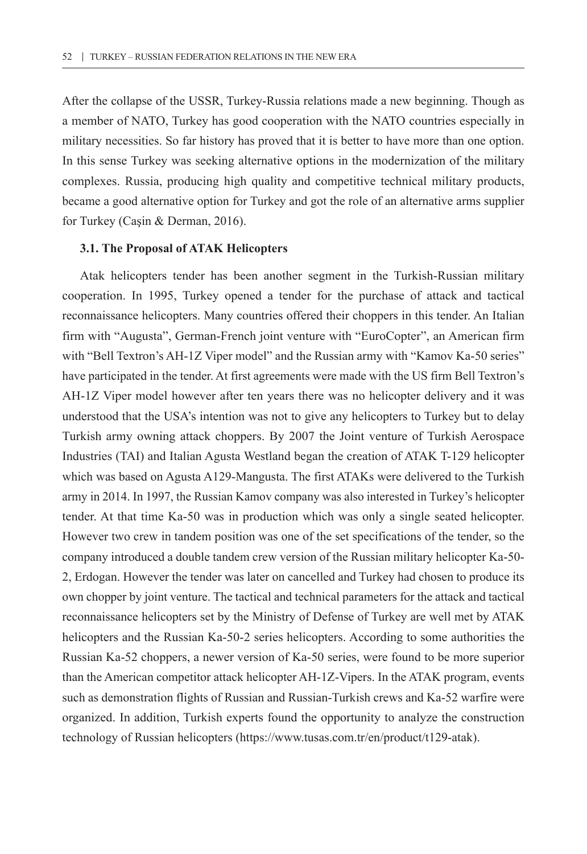After the collapse of the USSR, Turkey-Russia relations made a new beginning. Though as a member of NATO, Turkey has good cooperation with the NATO countries especially in military necessities. So far history has proved that it is better to have more than one option. In this sense Turkey was seeking alternative options in the modernization of the military complexes. Russia, producing high quality and competitive technical military products, became a good alternative option for Turkey and got the role of an alternative arms supplier for Turkey (Caşin & Derman, 2016).

#### **3.1. The Proposal of ATAK Helicopters**

Atak helicopters tender has been another segment in the Turkish-Russian military cooperation. In 1995, Turkey opened a tender for the purchase of attack and tactical reconnaissance helicopters. Many countries offered their choppers in this tender. An Italian firm with "Augusta", German-French joint venture with "EuroCopter", an American firm with "Bell Textron's AH-1Z Viper model" and the Russian army with "Kamov Ka-50 series" have participated in the tender. At first agreements were made with the US firm Bell Textron's AH-1Z Viper model however after ten years there was no helicopter delivery and it was understood that the USA's intention was not to give any helicopters to Turkey but to delay Turkish army owning attack choppers. By 2007 the Joint venture of Turkish Aerospace Industries (TAI) and Italian Agusta Westland began the creation of ATAK T-129 helicopter which was based on Agusta A129-Mangusta. The first ATAKs were delivered to the Turkish army in 2014. In 1997, the Russian Kamov company was also interested in Turkey's helicopter tender. At that time Ka-50 was in production which was only a single seated helicopter. However two crew in tandem position was one of the set specifications of the tender, so the company introduced a double tandem crew version of the Russian military helicopter Ka-50- 2, Erdogan. However the tender was later on cancelled and Turkey had chosen to produce its own chopper by joint venture. The tactical and technical parameters for the attack and tactical reconnaissance helicopters set by the Ministry of Defense of Turkey are well met by ATAK helicopters and the Russian Ka-50-2 series helicopters. According to some authorities the Russian Ka-52 choppers, a newer version of Ka-50 series, were found to be more superior than the American competitor attack helicopter AH-1Z-Vipers. In the ATAK program, events such as demonstration flights of Russian and Russian-Turkish crews and Ka-52 warfire were organized. In addition, Turkish experts found the opportunity to analyze the construction technology of Russian helicopters (https://www.tusas.com.tr/en/product/t129-atak).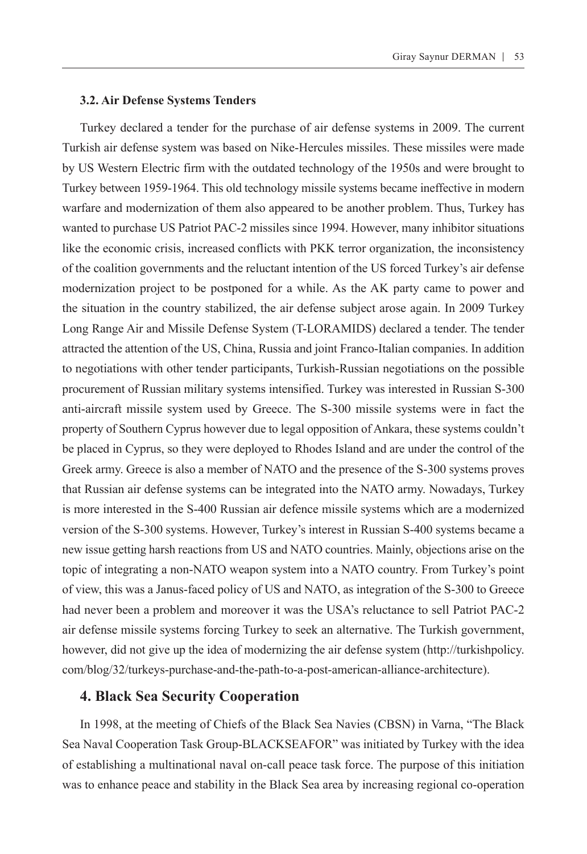#### **3.2. Air Defense Systems Tenders**

Turkey declared a tender for the purchase of air defense systems in 2009. The current Turkish air defense system was based on Nike-Hercules missiles. These missiles were made by US Western Electric firm with the outdated technology of the 1950s and were brought to Turkey between 1959-1964. This old technology missile systems became ineffective in modern warfare and modernization of them also appeared to be another problem. Thus, Turkey has wanted to purchase US Patriot PAC-2 missiles since 1994. However, many inhibitor situations like the economic crisis, increased conflicts with PKK terror organization, the inconsistency of the coalition governments and the reluctant intention of the US forced Turkey's air defense modernization project to be postponed for a while. As the AK party came to power and the situation in the country stabilized, the air defense subject arose again. In 2009 Turkey Long Range Air and Missile Defense System (T-LORAMIDS) declared a tender. The tender attracted the attention of the US, China, Russia and joint Franco-Italian companies. In addition to negotiations with other tender participants, Turkish-Russian negotiations on the possible procurement of Russian military systems intensified. Turkey was interested in Russian S-300 anti-aircraft missile system used by Greece. The S-300 missile systems were in fact the property of Southern Cyprus however due to legal opposition of Ankara, these systems couldn't be placed in Cyprus, so they were deployed to Rhodes Island and are under the control of the Greek army. Greece is also a member of NATO and the presence of the S-300 systems proves that Russian air defense systems can be integrated into the NATO army. Nowadays, Turkey is more interested in the S-400 Russian air defence missile systems which are a modernized version of the S-300 systems. However, Turkey's interest in Russian S-400 systems became a new issue getting harsh reactions from US and NATO countries. Mainly, objections arise on the topic of integrating a non-NATO weapon system into a NATO country. From Turkey's point of view, this was a Janus-faced policy of US and NATO, as integration of the S-300 to Greece had never been a problem and moreover it was the USA's reluctance to sell Patriot PAC-2 air defense missile systems forcing Turkey to seek an alternative. The Turkish government, however, did not give up the idea of modernizing the air defense system ([http://turkishpolicy.](http://turkishpolicy.com/blog/32/turkeys-purchase-and-the-path-to-a-post-american-alliance-architecture) [com/blog/32/turkeys-purchase-and-the-path-to-a-post-american-alliance-architecture\)](http://turkishpolicy.com/blog/32/turkeys-purchase-and-the-path-to-a-post-american-alliance-architecture).

## **4. Black Sea Security Cooperation**

In 1998, at the meeting of Chiefs of the Black Sea Navies (CBSN) in Varna, "The Black Sea Naval Cooperation Task Group-BLACKSEAFOR" was initiated by Turkey with the idea of establishing a multinational naval on-call peace task force. The purpose of this initiation was to enhance peace and stability in the Black Sea area by increasing regional co-operation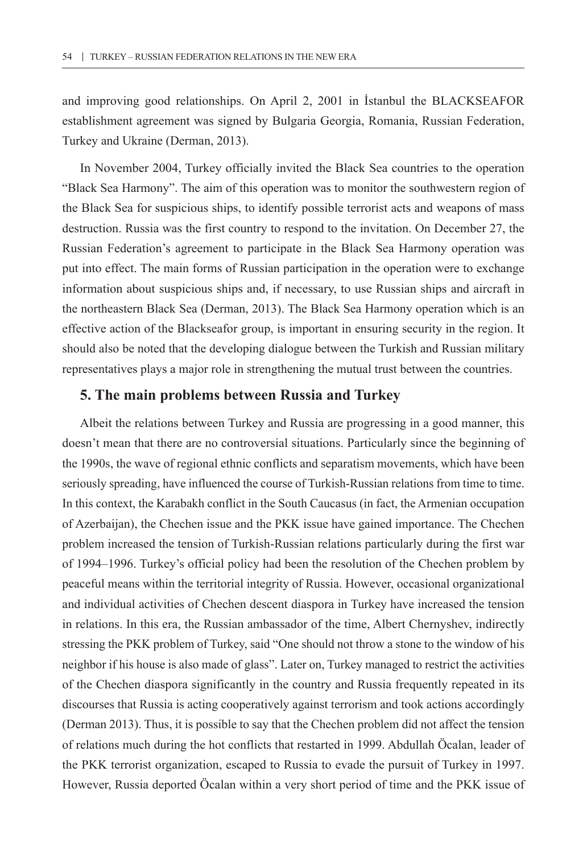and improving good relationships. On April 2, 2001 in İstanbul the BLACKSEAFOR establishment agreement was signed by Bulgaria Georgia, Romania, Russian Federation, Turkey and Ukraine (Derman, 2013).

In November 2004, Turkey officially invited the Black Sea countries to the operation "Black Sea Harmony". The aim of this operation was to monitor the southwestern region of the Black Sea for suspicious ships, to identify possible terrorist acts and weapons of mass destruction. Russia was the first country to respond to the invitation. On December 27, the Russian Federation's agreement to participate in the Black Sea Harmony operation was put into effect. The main forms of Russian participation in the operation were to exchange information about suspicious ships and, if necessary, to use Russian ships and aircraft in the northeastern Black Sea (Derman, 2013). The Black Sea Harmony operation which is an effective action of the Blackseafor group, is important in ensuring security in the region. It should also be noted that the developing dialogue between the Turkish and Russian military representatives plays a major role in strengthening the mutual trust between the countries.

## **5. The main problems between Russia and Turkey**

Albeit the relations between Turkey and Russia are progressing in a good manner, this doesn't mean that there are no controversial situations. Particularly since the beginning of the 1990s, the wave of regional ethnic conflicts and separatism movements, which have been seriously spreading, have influenced the course of Turkish-Russian relations from time to time. In this context, the Karabakh conflict in the South Caucasus (in fact, the Armenian occupation of Azerbaijan), the Chechen issue and the PKK issue have gained importance. The Chechen problem increased the tension of Turkish-Russian relations particularly during the first war of 1994–1996. Turkey's official policy had been the resolution of the Chechen problem by peaceful means within the territorial integrity of Russia. However, occasional organizational and individual activities of Chechen descent diaspora in Turkey have increased the tension in relations. In this era, the Russian ambassador of the time, Albert Chernyshev, indirectly stressing the PKK problem of Turkey, said "One should not throw a stone to the window of his neighbor if his house is also made of glass". Later on, Turkey managed to restrict the activities of the Chechen diaspora significantly in the country and Russia frequently repeated in its discourses that Russia is acting cooperatively against terrorism and took actions accordingly (Derman 2013). Thus, it is possible to say that the Chechen problem did not affect the tension of relations much during the hot conflicts that restarted in 1999. Abdullah Öcalan, leader of the PKK terrorist organization, escaped to Russia to evade the pursuit of Turkey in 1997. However, Russia deported Öcalan within a very short period of time and the PKK issue of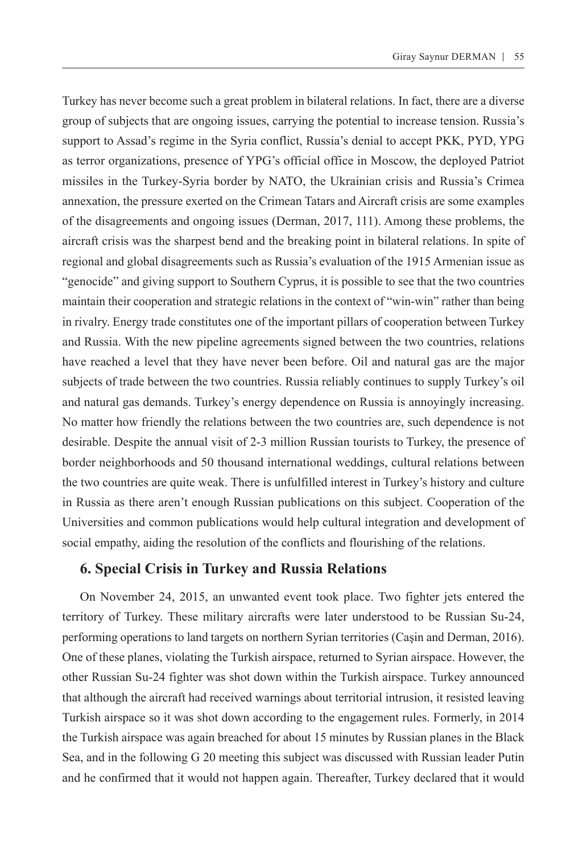Turkey has never become such a great problem in bilateral relations. In fact, there are a diverse group of subjects that are ongoing issues, carrying the potential to increase tension. Russia's support to Assad's regime in the Syria conflict, Russia's denial to accept PKK, PYD, YPG as terror organizations, presence of YPG's official office in Moscow, the deployed Patriot missiles in the Turkey-Syria border by NATO, the Ukrainian crisis and Russia's Crimea annexation, the pressure exerted on the Crimean Tatars and Aircraft crisis are some examples of the disagreements and ongoing issues (Derman, 2017, 111). Among these problems, the aircraft crisis was the sharpest bend and the breaking point in bilateral relations. In spite of regional and global disagreements such as Russia's evaluation of the 1915 Armenian issue as "genocide" and giving support to Southern Cyprus, it is possible to see that the two countries maintain their cooperation and strategic relations in the context of "win-win" rather than being in rivalry. Energy trade constitutes one of the important pillars of cooperation between Turkey and Russia. With the new pipeline agreements signed between the two countries, relations have reached a level that they have never been before. Oil and natural gas are the major subjects of trade between the two countries. Russia reliably continues to supply Turkey's oil and natural gas demands. Turkey's energy dependence on Russia is annoyingly increasing. No matter how friendly the relations between the two countries are, such dependence is not desirable. Despite the annual visit of 2-3 million Russian tourists to Turkey, the presence of border neighborhoods and 50 thousand international weddings, cultural relations between the two countries are quite weak. There is unfulfilled interest in Turkey's history and culture in Russia as there aren't enough Russian publications on this subject. Cooperation of the Universities and common publications would help cultural integration and development of social empathy, aiding the resolution of the conflicts and flourishing of the relations.

#### **6. Special Crisis in Turkey and Russia Relations**

On November 24, 2015, an unwanted event took place. Two fighter jets entered the territory of Turkey. These military aircrafts were later understood to be Russian Su-24, performing operations to land targets on northern Syrian territories (Caşin and Derman, 2016). One of these planes, violating the Turkish airspace, returned to Syrian airspace. However, the other Russian Su-24 fighter was shot down within the Turkish airspace. Turkey announced that although the aircraft had received warnings about territorial intrusion, it resisted leaving Turkish airspace so it was shot down according to the engagement rules. Formerly, in 2014 the Turkish airspace was again breached for about 15 minutes by Russian planes in the Black Sea, and in the following G 20 meeting this subject was discussed with Russian leader Putin and he confirmed that it would not happen again. Thereafter, Turkey declared that it would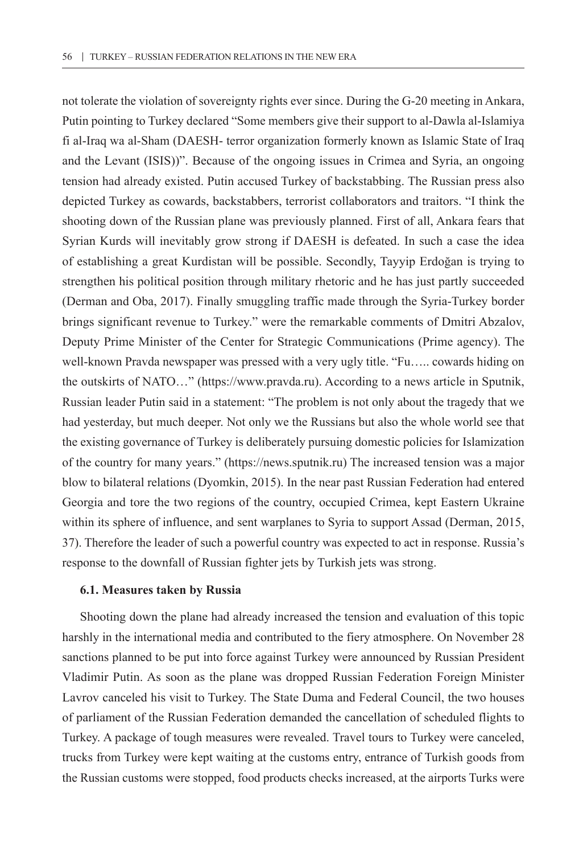not tolerate the violation of sovereignty rights ever since. During the G-20 meeting in Ankara, Putin pointing to Turkey declared "Some members give their support to al-Dawla al-Islamiya fi al-Iraq wa al-Sham (DAESH- terror organization formerly known as Islamic State of Iraq and the Levant (ISIS))". Because of the ongoing issues in Crimea and Syria, an ongoing tension had already existed. Putin accused Turkey of backstabbing. The Russian press also depicted Turkey as cowards, backstabbers, terrorist collaborators and traitors. "I think the shooting down of the Russian plane was previously planned. First of all, Ankara fears that Syrian Kurds will inevitably grow strong if DAESH is defeated. In such a case the idea of establishing a great Kurdistan will be possible. Secondly, Tayyip Erdoğan is trying to strengthen his political position through military rhetoric and he has just partly succeeded (Derman and Oba, 2017). Finally smuggling traffic made through the Syria-Turkey border brings significant revenue to Turkey." were the remarkable comments of Dmitri Abzalov, Deputy Prime Minister of the Center for Strategic Communications (Prime agency). The well-known Pravda newspaper was pressed with a very ugly title. "Fu….. cowards hiding on the outskirts of NATO…" ([https://www.pravda.ru\)](https://www.pravda.ru). According to a news article in Sputnik, Russian leader Putin said in a statement: "The problem is not only about the tragedy that we had yesterday, but much deeper. Not only we the Russians but also the whole world see that the existing governance of Turkey is deliberately pursuing domestic policies for Islamization of the country for many years." (https://news.sputnik.ru) The increased tension was a major blow to bilateral relations (Dyomkin, 2015). In the near past Russian Federation had entered Georgia and tore the two regions of the country, occupied Crimea, kept Eastern Ukraine within its sphere of influence, and sent warplanes to Syria to support Assad (Derman, 2015, 37). Therefore the leader of such a powerful country was expected to act in response. Russia's response to the downfall of Russian fighter jets by Turkish jets was strong.

#### **6.1. Measures taken by Russia**

Shooting down the plane had already increased the tension and evaluation of this topic harshly in the international media and contributed to the fiery atmosphere. On November 28 sanctions planned to be put into force against Turkey were announced by Russian President Vladimir Putin. As soon as the plane was dropped Russian Federation Foreign Minister Lavrov canceled his visit to Turkey. The State Duma and Federal Council, the two houses of parliament of the Russian Federation demanded the cancellation of scheduled flights to Turkey. A package of tough measures were revealed. Travel tours to Turkey were canceled, trucks from Turkey were kept waiting at the customs entry, entrance of Turkish goods from the Russian customs were stopped, food products checks increased, at the airports Turks were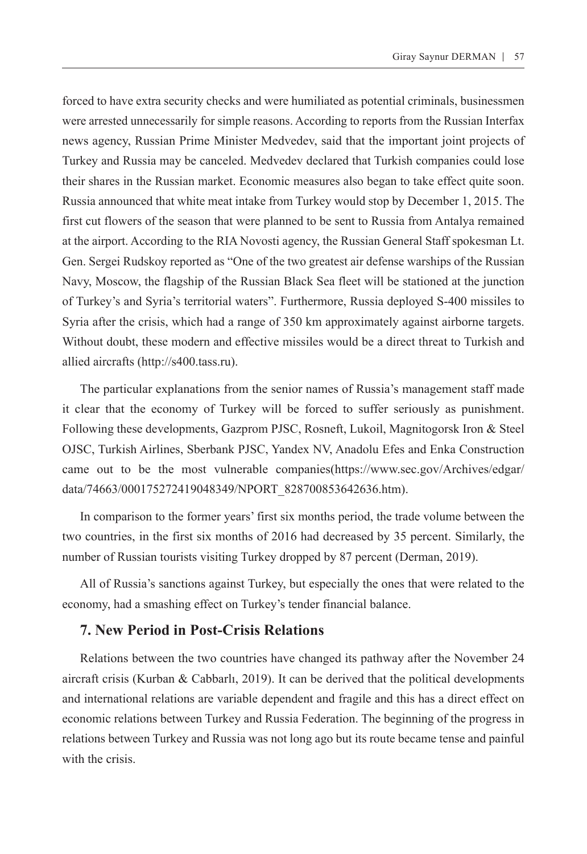forced to have extra security checks and were humiliated as potential criminals, businessmen were arrested unnecessarily for simple reasons. According to reports from the Russian Interfax news agency, Russian Prime Minister Medvedev, said that the important joint projects of Turkey and Russia may be canceled. Medvedev declared that Turkish companies could lose their shares in the Russian market. Economic measures also began to take effect quite soon. Russia announced that white meat intake from Turkey would stop by December 1, 2015. The first cut flowers of the season that were planned to be sent to Russia from Antalya remained at the airport. According to the RIA Novosti agency, the Russian General Staff spokesman Lt. Gen. Sergei Rudskoy reported as "One of the two greatest air defense warships of the Russian Navy, Moscow, the flagship of the Russian Black Sea fleet will be stationed at the junction of Turkey's and Syria's territorial waters". Furthermore, Russia deployed S-400 missiles to Syria after the crisis, which had a range of 350 km approximately against airborne targets. Without doubt, these modern and effective missiles would be a direct threat to Turkish and allied aircrafts (<http://s400.tass.ru>).

The particular explanations from the senior names of Russia's management staff made it clear that the economy of Turkey will be forced to suffer seriously as punishment. Following these developments, Gazprom PJSC, Rosneft, Lukoil, Magnitogorsk Iron & Steel OJSC, Turkish Airlines, Sberbank PJSC, Yandex NV, Anadolu Efes and Enka Construction came out to be the most vulnerable companies([https://www.sec.gov/Archives/edgar/](https://www.sec.gov/Archives/edgar/data/74663/000175272419048349/NPORT_828700853642636.htm) [data/74663/000175272419048349/NPORT\\_828700853642636.htm\)](https://www.sec.gov/Archives/edgar/data/74663/000175272419048349/NPORT_828700853642636.htm).

In comparison to the former years' first six months period, the trade volume between the two countries, in the first six months of 2016 had decreased by 35 percent. Similarly, the number of Russian tourists visiting Turkey dropped by 87 percent (Derman, 2019).

All of Russia's sanctions against Turkey, but especially the ones that were related to the economy, had a smashing effect on Turkey's tender financial balance.

#### **7. New Period in Post-Crisis Relations**

Relations between the two countries have changed its pathway after the November 24 aircraft crisis (Kurban  $& Cabbar11, 2019$ ). It can be derived that the political developments and international relations are variable dependent and fragile and this has a direct effect on economic relations between Turkey and Russia Federation. The beginning of the progress in relations between Turkey and Russia was not long ago but its route became tense and painful with the crisis.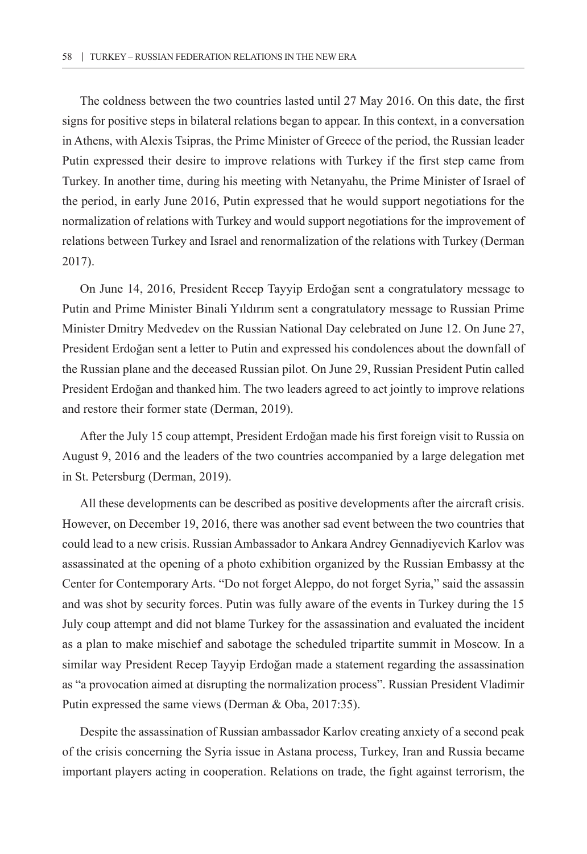The coldness between the two countries lasted until 27 May 2016. On this date, the first signs for positive steps in bilateral relations began to appear. In this context, in a conversation in Athens, with Alexis Tsipras, the Prime Minister of Greece of the period, the Russian leader Putin expressed their desire to improve relations with Turkey if the first step came from Turkey. In another time, during his meeting with Netanyahu, the Prime Minister of Israel of the period, in early June 2016, Putin expressed that he would support negotiations for the normalization of relations with Turkey and would support negotiations for the improvement of relations between Turkey and Israel and renormalization of the relations with Turkey (Derman 2017).

On June 14, 2016, President Recep Tayyip Erdoğan sent a congratulatory message to Putin and Prime Minister Binali Yıldırım sent a congratulatory message to Russian Prime Minister Dmitry Medvedev on the Russian National Day celebrated on June 12. On June 27, President Erdoğan sent a letter to Putin and expressed his condolences about the downfall of the Russian plane and the deceased Russian pilot. On June 29, Russian President Putin called President Erdoğan and thanked him. The two leaders agreed to act jointly to improve relations and restore their former state (Derman, 2019).

After the July 15 coup attempt, President Erdoğan made his first foreign visit to Russia on August 9, 2016 and the leaders of the two countries accompanied by a large delegation met in St. Petersburg (Derman, 2019).

All these developments can be described as positive developments after the aircraft crisis. However, on December 19, 2016, there was another sad event between the two countries that could lead to a new crisis. Russian Ambassador to Ankara Andrey Gennadiyevich Karlov was assassinated at the opening of a photo exhibition organized by the Russian Embassy at the Center for Contemporary Arts. "Do not forget Aleppo, do not forget Syria," said the assassin and was shot by security forces. Putin was fully aware of the events in Turkey during the 15 July coup attempt and did not blame Turkey for the assassination and evaluated the incident as a plan to make mischief and sabotage the scheduled tripartite summit in Moscow. In a similar way President Recep Tayyip Erdoğan made a statement regarding the assassination as "a provocation aimed at disrupting the normalization process". Russian President Vladimir Putin expressed the same views (Derman & Oba, 2017:35).

Despite the assassination of Russian ambassador Karlov creating anxiety of a second peak of the crisis concerning the Syria issue in Astana process, Turkey, Iran and Russia became important players acting in cooperation. Relations on trade, the fight against terrorism, the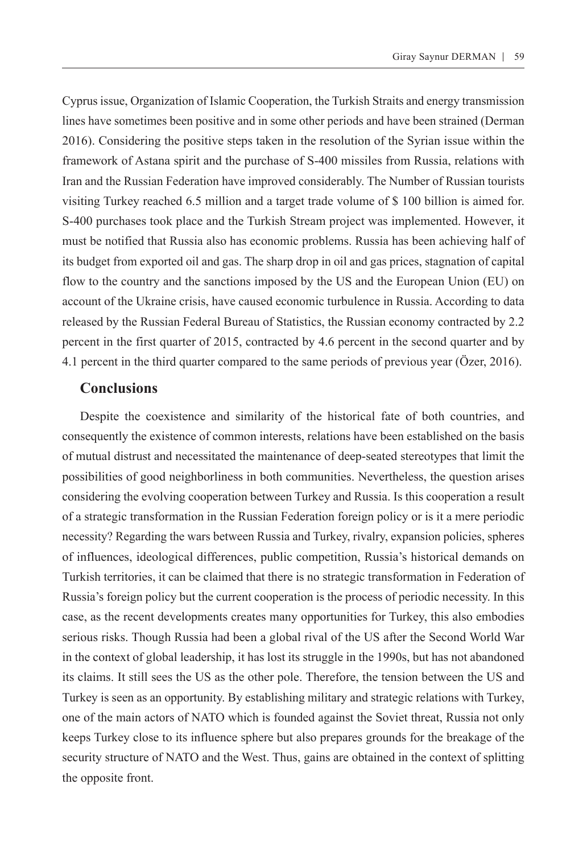Cyprus issue, Organization of Islamic Cooperation, the Turkish Straits and energy transmission lines have sometimes been positive and in some other periods and have been strained (Derman 2016). Considering the positive steps taken in the resolution of the Syrian issue within the framework of Astana spirit and the purchase of S-400 missiles from Russia, relations with Iran and the Russian Federation have improved considerably. The Number of Russian tourists visiting Turkey reached 6.5 million and a target trade volume of \$ 100 billion is aimed for. S-400 purchases took place and the Turkish Stream project was implemented. However, it must be notified that Russia also has economic problems. Russia has been achieving half of its budget from exported oil and gas. The sharp drop in oil and gas prices, stagnation of capital flow to the country and the sanctions imposed by the US and the European Union (EU) on account of the Ukraine crisis, have caused economic turbulence in Russia. According to data released by the Russian Federal Bureau of Statistics, the Russian economy contracted by 2.2 percent in the first quarter of 2015, contracted by 4.6 percent in the second quarter and by 4.1 percent in the third quarter compared to the same periods of previous year (Özer, 2016).

## **Conclusions**

Despite the coexistence and similarity of the historical fate of both countries, and consequently the existence of common interests, relations have been established on the basis of mutual distrust and necessitated the maintenance of deep-seated stereotypes that limit the possibilities of good neighborliness in both communities. Nevertheless, the question arises considering the evolving cooperation between Turkey and Russia. Is this cooperation a result of a strategic transformation in the Russian Federation foreign policy or is it a mere periodic necessity? Regarding the wars between Russia and Turkey, rivalry, expansion policies, spheres of influences, ideological differences, public competition, Russia's historical demands on Turkish territories, it can be claimed that there is no strategic transformation in Federation of Russia's foreign policy but the current cooperation is the process of periodic necessity. In this case, as the recent developments creates many opportunities for Turkey, this also embodies serious risks. Though Russia had been a global rival of the US after the Second World War in the context of global leadership, it has lost its struggle in the 1990s, but has not abandoned its claims. It still sees the US as the other pole. Therefore, the tension between the US and Turkey is seen as an opportunity. By establishing military and strategic relations with Turkey, one of the main actors of NATO which is founded against the Soviet threat, Russia not only keeps Turkey close to its influence sphere but also prepares grounds for the breakage of the security structure of NATO and the West. Thus, gains are obtained in the context of splitting the opposite front.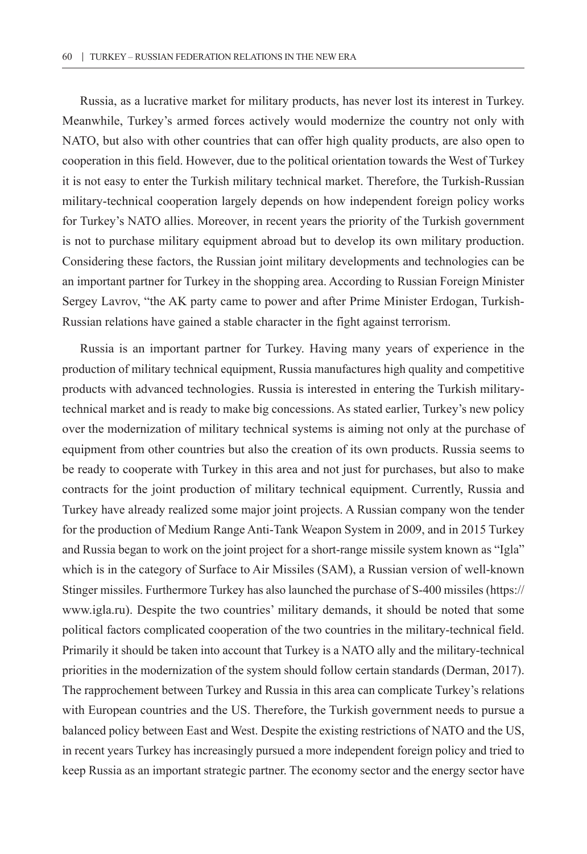Russia, as a lucrative market for military products, has never lost its interest in Turkey. Meanwhile, Turkey's armed forces actively would modernize the country not only with NATO, but also with other countries that can offer high quality products, are also open to cooperation in this field. However, due to the political orientation towards the West of Turkey it is not easy to enter the Turkish military technical market. Therefore, the Turkish-Russian military-technical cooperation largely depends on how independent foreign policy works for Turkey's NATO allies. Moreover, in recent years the priority of the Turkish government is not to purchase military equipment abroad but to develop its own military production. Considering these factors, the Russian joint military developments and technologies can be an important partner for Turkey in the shopping area. According to Russian Foreign Minister Sergey Lavrov, "the AK party came to power and after Prime Minister Erdogan, Turkish-Russian relations have gained a stable character in the fight against terrorism.

Russia is an important partner for Turkey. Having many years of experience in the production of military technical equipment, Russia manufactures high quality and competitive products with advanced technologies. Russia is interested in entering the Turkish militarytechnical market and is ready to make big concessions. As stated earlier, Turkey's new policy over the modernization of military technical systems is aiming not only at the purchase of equipment from other countries but also the creation of its own products. Russia seems to be ready to cooperate with Turkey in this area and not just for purchases, but also to make contracts for the joint production of military technical equipment. Currently, Russia and Turkey have already realized some major joint projects. A Russian company won the tender for the production of Medium Range Anti-Tank Weapon System in 2009, and in 2015 Turkey and Russia began to work on the joint project for a short-range missile system known as "Igla" which is in the category of Surface to Air Missiles (SAM), a Russian version of well-known Stinger missiles. Furthermore Turkey has also launched the purchase of S-400 missiles (https:// www.igla.ru). Despite the two countries' military demands, it should be noted that some political factors complicated cooperation of the two countries in the military-technical field. Primarily it should be taken into account that Turkey is a NATO ally and the military-technical priorities in the modernization of the system should follow certain standards (Derman, 2017). The rapprochement between Turkey and Russia in this area can complicate Turkey's relations with European countries and the US. Therefore, the Turkish government needs to pursue a balanced policy between East and West. Despite the existing restrictions of NATO and the US, in recent years Turkey has increasingly pursued a more independent foreign policy and tried to keep Russia as an important strategic partner. The economy sector and the energy sector have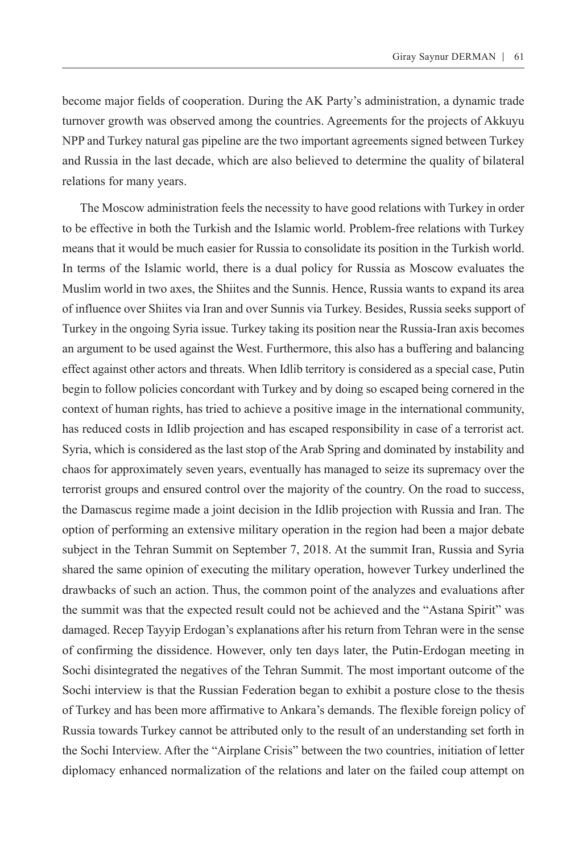become major fields of cooperation. During the AK Party's administration, a dynamic trade turnover growth was observed among the countries. Agreements for the projects of Akkuyu NPP and Turkey natural gas pipeline are the two important agreements signed between Turkey and Russia in the last decade, which are also believed to determine the quality of bilateral relations for many years.

The Moscow administration feels the necessity to have good relations with Turkey in order to be effective in both the Turkish and the Islamic world. Problem-free relations with Turkey means that it would be much easier for Russia to consolidate its position in the Turkish world. In terms of the Islamic world, there is a dual policy for Russia as Moscow evaluates the Muslim world in two axes, the Shiites and the Sunnis. Hence, Russia wants to expand its area of influence over Shiites via Iran and over Sunnis via Turkey. Besides, Russia seeks support of Turkey in the ongoing Syria issue. Turkey taking its position near the Russia-Iran axis becomes an argument to be used against the West. Furthermore, this also has a buffering and balancing effect against other actors and threats. When Idlib territory is considered as a special case, Putin begin to follow policies concordant with Turkey and by doing so escaped being cornered in the context of human rights, has tried to achieve a positive image in the international community, has reduced costs in Idlib projection and has escaped responsibility in case of a terrorist act. Syria, which is considered as the last stop of the Arab Spring and dominated by instability and chaos for approximately seven years, eventually has managed to seize its supremacy over the terrorist groups and ensured control over the majority of the country. On the road to success, the Damascus regime made a joint decision in the Idlib projection with Russia and Iran. The option of performing an extensive military operation in the region had been a major debate subject in the Tehran Summit on September 7, 2018. At the summit Iran, Russia and Syria shared the same opinion of executing the military operation, however Turkey underlined the drawbacks of such an action. Thus, the common point of the analyzes and evaluations after the summit was that the expected result could not be achieved and the "Astana Spirit" was damaged. Recep Tayyip Erdogan's explanations after his return from Tehran were in the sense of confirming the dissidence. However, only ten days later, the Putin-Erdogan meeting in Sochi disintegrated the negatives of the Tehran Summit. The most important outcome of the Sochi interview is that the Russian Federation began to exhibit a posture close to the thesis of Turkey and has been more affirmative to Ankara's demands. The flexible foreign policy of Russia towards Turkey cannot be attributed only to the result of an understanding set forth in the Sochi Interview. After the "Airplane Crisis" between the two countries, initiation of letter diplomacy enhanced normalization of the relations and later on the failed coup attempt on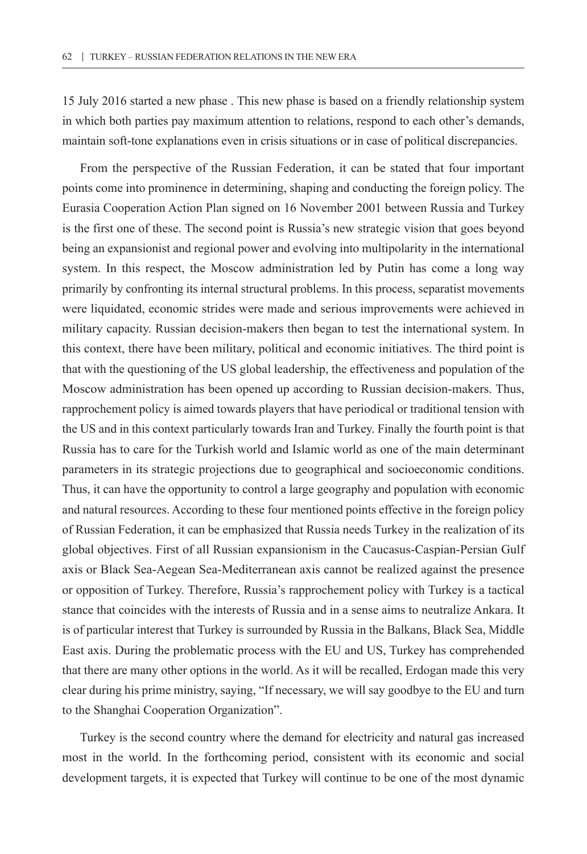15 July 2016 started a new phase . This new phase is based on a friendly relationship system in which both parties pay maximum attention to relations, respond to each other's demands, maintain soft-tone explanations even in crisis situations or in case of political discrepancies.

From the perspective of the Russian Federation, it can be stated that four important points come into prominence in determining, shaping and conducting the foreign policy. The Eurasia Cooperation Action Plan signed on 16 November 2001 between Russia and Turkey is the first one of these. The second point is Russia's new strategic vision that goes beyond being an expansionist and regional power and evolving into multipolarity in the international system. In this respect, the Moscow administration led by Putin has come a long way primarily by confronting its internal structural problems. In this process, separatist movements were liquidated, economic strides were made and serious improvements were achieved in military capacity. Russian decision-makers then began to test the international system. In this context, there have been military, political and economic initiatives. The third point is that with the questioning of the US global leadership, the effectiveness and population of the Moscow administration has been opened up according to Russian decision-makers. Thus, rapprochement policy is aimed towards players that have periodical or traditional tension with the US and in this context particularly towards Iran and Turkey. Finally the fourth point is that Russia has to care for the Turkish world and Islamic world as one of the main determinant parameters in its strategic projections due to geographical and socioeconomic conditions. Thus, it can have the opportunity to control a large geography and population with economic and natural resources. According to these four mentioned points effective in the foreign policy of Russian Federation, it can be emphasized that Russia needs Turkey in the realization of its global objectives. First of all Russian expansionism in the Caucasus-Caspian-Persian Gulf axis or Black Sea-Aegean Sea-Mediterranean axis cannot be realized against the presence or opposition of Turkey. Therefore, Russia's rapprochement policy with Turkey is a tactical stance that coincides with the interests of Russia and in a sense aims to neutralize Ankara. It is of particular interest that Turkey is surrounded by Russia in the Balkans, Black Sea, Middle East axis. During the problematic process with the EU and US, Turkey has comprehended that there are many other options in the world. As it will be recalled, Erdogan made this very clear during his prime ministry, saying, "If necessary, we will say goodbye to the EU and turn to the Shanghai Cooperation Organization".

Turkey is the second country where the demand for electricity and natural gas increased most in the world. In the forthcoming period, consistent with its economic and social development targets, it is expected that Turkey will continue to be one of the most dynamic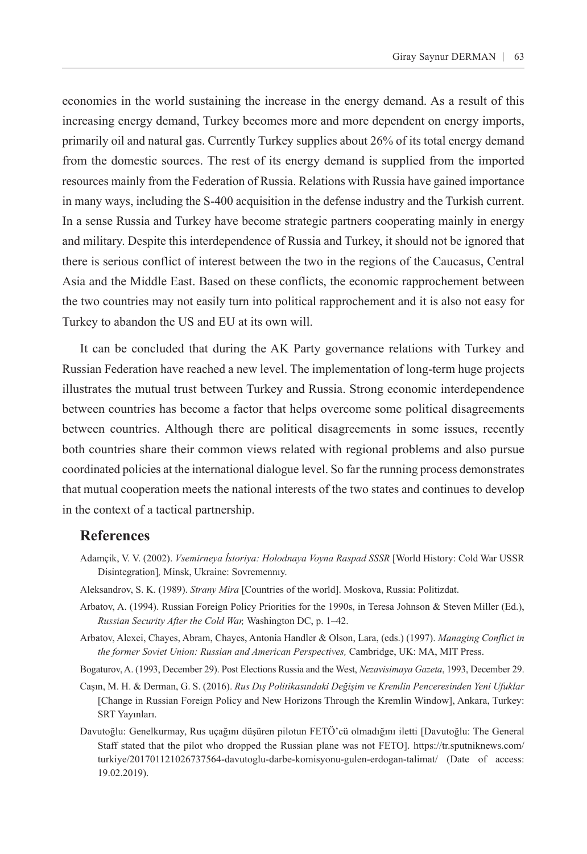economies in the world sustaining the increase in the energy demand. As a result of this increasing energy demand, Turkey becomes more and more dependent on energy imports, primarily oil and natural gas. Currently Turkey supplies about 26% of its total energy demand from the domestic sources. The rest of its energy demand is supplied from the imported resources mainly from the Federation of Russia. Relations with Russia have gained importance in many ways, including the S-400 acquisition in the defense industry and the Turkish current. In a sense Russia and Turkey have become strategic partners cooperating mainly in energy and military. Despite this interdependence of Russia and Turkey, it should not be ignored that there is serious conflict of interest between the two in the regions of the Caucasus, Central Asia and the Middle East. Based on these conflicts, the economic rapprochement between the two countries may not easily turn into political rapprochement and it is also not easy for Turkey to abandon the US and EU at its own will.

It can be concluded that during the AK Party governance relations with Turkey and Russian Federation have reached a new level. The implementation of long-term huge projects illustrates the mutual trust between Turkey and Russia. Strong economic interdependence between countries has become a factor that helps overcome some political disagreements between countries. Although there are political disagreements in some issues, recently both countries share their common views related with regional problems and also pursue coordinated policies at the international dialogue level. So far the running process demonstrates that mutual cooperation meets the national interests of the two states and continues to develop in the context of a tactical partnership.

#### **References**

- Adamçik, V. V. (2002). *Vsemirneya İstoriya: Holodnaya Voyna Raspad SSSR* [World History: Cold War USSR Disintegration]*,* Minsk, Ukraine: Sovremennıy.
- Aleksandrov, S. K. (1989). *Strany Mira* [Countries of the world]. Moskova, Russia: Politizdat.
- Arbatov, A. (1994). Russian Foreign Policy Priorities for the 1990s, in Teresa Johnson & Steven Miller (Ed.), *Russian Security After the Cold War,* Washington DC, p. 1–42.
- Arbatov, Alexei, Chayes, Abram, Chayes, Antonia Handler & Olson, Lara, (eds.) (1997). *Managing Conflict in the former Soviet Union: Russian and American Perspectives,* Cambridge, UK: MA, MIT Press.
- Bogaturov, A. (1993, December 29). Post Elections Russia and the West, *Nezavisimaya Gazeta*, 1993, December 29.
- Caşın, M. H. & Derman, G. S. (2016). *Rus Dış Politikasındaki Değişim ve Kremlin Penceresinden Yeni Ufuklar*  [Change in Russian Foreign Policy and New Horizons Through the Kremlin Window], Ankara, Turkey: SRT Yayınları.
- Davutoğlu: Genelkurmay, Rus uçağını düşüren pilotun FETÖ'cü olmadığını iletti [Davutoğlu: The General Staff stated that the pilot who dropped the Russian plane was not FETO]. [https://tr.sputniknews.com/](https://tr.sputniknews.com/turkiye/201701121026737564-davutoglu-darbe-komisyonu-gulen-erdogan-talimat/) [turkiye/201701121026737564-davutoglu-darbe-komisyonu-gulen-erdogan-talimat/](https://tr.sputniknews.com/turkiye/201701121026737564-davutoglu-darbe-komisyonu-gulen-erdogan-talimat/) (Date of access: 19.02.2019).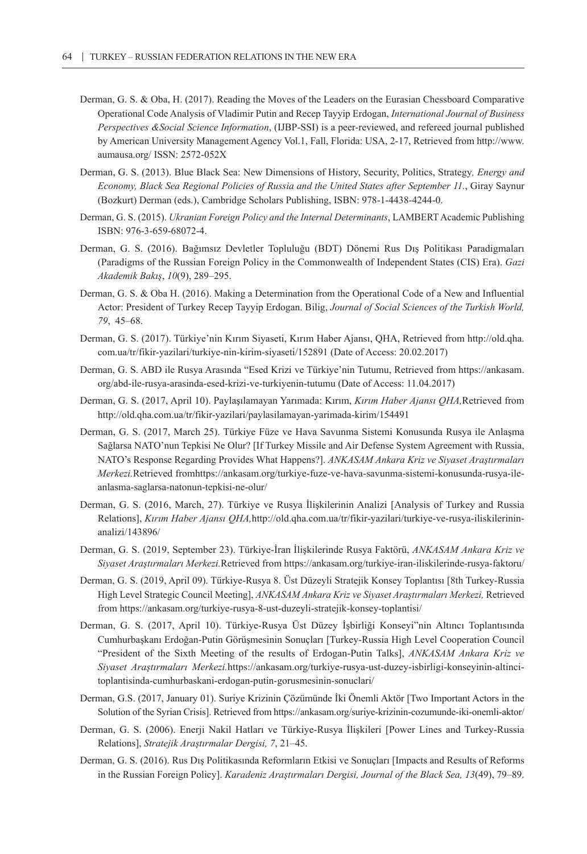- Derman, G. S. & Oba, H. (2017). Reading the Moves of the Leaders on the Eurasian Chessboard Comparative Operational Code Analysis of Vladimir Putin and Recep Tayyip Erdogan, *International Journal of Business Perspectives &Social Science Information*, (IJBP-SSI) is a peer-reviewed, and refereed journal published by American University Management Agency Vol.1, Fall, Florida: USA, 2-17, Retrieved from http://www. aumausa.org/ ISSN: 2572-052X
- Derman, G. S. (2013). Blue Black Sea: New Dimensions of History, Security, Politics, Strategy*, Energy and Economy, Black Sea Regional Policies of Russia and the United States after September 11.*, Giray Saynur (Bozkurt) Derman (eds.), Cambridge Scholars Publishing, ISBN: 978-1-4438-4244-0.
- Derman, G. S. (2015). *Ukranian Foreign Policy and the Internal Determinants*, LAMBERT Academic Publishing ISBN: 976-3-659-68072-4.
- Derman, G. S. (2016). Bağımsız Devletler Topluluğu (BDT) Dönemi Rus Dış Politikası Paradigmaları (Paradigms of the Russian Foreign Policy in the Commonwealth of Independent States (CIS) Era). *Gazi Akademik Bakış*, *10*(9), 289–295.
- Derman, G. S. & Oba H. (2016). Making a Determination from the Operational Code of a New and Influential Actor: President of Turkey Recep Tayyip Erdogan. Bilig, *Journal of Social Sciences of the Turkish World, 79*, 45–68.
- Derman, G. S. (2017). Türkiye'nin Kırım Siyaseti, Kırım Haber Ajansı, QHA, Retrieved from [http://old.qha.](http://old.qha.com.ua/tr/fikir-yazilari/turkiye-nin-kirim-siyaseti/152891) [com.ua/tr/fikir-yazilari/turkiye-nin-kirim-siyaseti/152891](http://old.qha.com.ua/tr/fikir-yazilari/turkiye-nin-kirim-siyaseti/152891) (Date of Access: 20.02.2017)
- Derman, G. S. ABD ile Rusya Arasında "Esed Krizi ve Türkiye'nin Tutumu, Retrieved from [https://ankasam.](https://ankasam.org/abd-ile-rusya-arasinda-esed-krizi-ve-turkiyenin-tutumu) [org/abd-ile-rusya-arasinda-esed-krizi-ve-turkiyenin-tutumu](https://ankasam.org/abd-ile-rusya-arasinda-esed-krizi-ve-turkiyenin-tutumu) (Date of Access: 11.04.2017)
- Derman, G. S. (2017, April 10). Paylaşılamayan Yarımada: Kırım, *Kırım Haber Ajansı QHA,*Retrieved from http://old.qha.com.ua/tr/fikir-yazilari/paylasilamayan-yarimada-kirim/154491
- Derman, G. S. (2017, March 25). Türkiye Füze ve Hava Savunma Sistemi Konusunda Rusya ile Anlaşma Sağlarsa NATO'nun Tepkisi Ne Olur? [If Turkey Missile and Air Defense System Agreement with Russia, NATO's Response Regarding Provides What Happens?]. *ANKASAM Ankara Kriz ve Siyaset Araştırmaları Merkezi.*Retrieved from[https://ankasam.org/turkiye-fuze-ve-hava-savunma-sistemi-konusunda-rusya-ile](https://ankasam.org/turkiye-fuze-ve-hava-savunma-sistemi-konusunda-rusya-ile-anlasma-saglarsa-natonun-tepkisi-ne-olur/)[anlasma-saglarsa-natonun-tepkisi-ne-olur/](https://ankasam.org/turkiye-fuze-ve-hava-savunma-sistemi-konusunda-rusya-ile-anlasma-saglarsa-natonun-tepkisi-ne-olur/)
- Derman, G. S. (2016, March, 27). Türkiye ve Rusya İlişkilerinin Analizi [Analysis of Turkey and Russia Relations], *Kırım Haber Ajansı QHA,*http://old.qha.com.ua/tr/fikir-yazilari/turkiye-ve-rusya-iliskilerininanalizi/143896/
- Derman, G. S. (2019, September 23). Türkiye-İran İlişkilerinde Rusya Faktörü, *ANKASAM Ankara Kriz ve Siyaset Araştırmaları Merkezi.*Retrieved from <https://ankasam.org/turkiye-iran-iliskilerinde-rusya-faktoru/>
- Derman, G. S. (2019, April 09). Türkiye-Rusya 8. Üst Düzeyli Stratejik Konsey Toplantısı [8th Turkey-Russia High Level Strategic Council Meeting], *ANKASAM Ankara Kriz ve Siyaset Araştırmaları Merkezi,* Retrieved from <https://ankasam.org/turkiye-rusya-8-ust-duzeyli-stratejik-konsey-toplantisi/>
- Derman, G. S. (2017, April 10). Türkiye-Rusya Üst Düzey İşbirliği Konseyi"nin Altıncı Toplantısında Cumhurbaşkanı Erdoğan-Putin Görüşmesinin Sonuçları [Turkey-Russia High Level Cooperation Council "President of the Sixth Meeting of the results of Erdogan-Putin Talks], *ANKASAM Ankara Kriz ve Siyaset Araştırmaları Merkezi.*[https://ankasam.org/turkiye-rusya-ust-duzey-isbirligi-konseyinin-altinci](https://ankasam.org/turkiye-rusya-ust-duzey-isbirligi-konseyinin-altinci-toplantisinda-cumhurbaskani-erdogan-putin-gorusmesinin-sonuclari/)[toplantisinda-cumhurbaskani-erdogan-putin-gorusmesinin-sonuclari/](https://ankasam.org/turkiye-rusya-ust-duzey-isbirligi-konseyinin-altinci-toplantisinda-cumhurbaskani-erdogan-putin-gorusmesinin-sonuclari/)
- Derman, G.S. (2017, January 01). Suriye Krizinin Çözümünde İki Önemli Aktör [Two Important Actors in the Solution of the Syrian Crisis]. Retrieved from<https://ankasam.org/suriye-krizinin-cozumunde-iki-onemli-aktor/>
- Derman, G. S. (2006). Enerji Nakil Hatları ve Türkiye-Rusya İlişkileri [Power Lines and Turkey-Russia Relations], *Stratejik Araştırmalar Dergisi, 7*, 21–45.
- Derman, G. S. (2016). Rus Dış Politikasında Reformların Etkisi ve Sonuçları [Impacts and Results of Reforms in the Russian Foreign Policy]. *Karadeniz Araştırmaları Dergisi, Journal of the Black Sea, 13*(49), 79–89.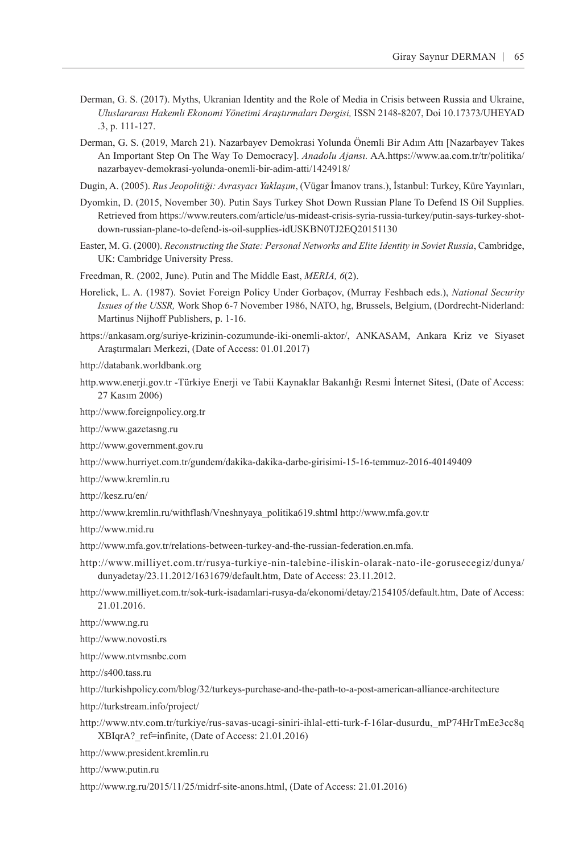- Derman, G. S. (2017). Myths, Ukranian Identity and the Role of Media in Crisis between Russia and Ukraine, *Uluslararası Hakemli Ekonomi Yönetimi Araştırmaları Dergisi,* ISSN 2148-8207, Doi 10.17373/UHEYAD .3, p. 111-127.
- Derman, G. S. (2019, March 21). Nazarbayev Demokrasi Yolunda Önemli Bir Adım Attı [Nazarbayev Takes An Important Step On The Way To Democracy]. *Anadolu Ajansı.* AA[.https://www.aa.com.tr/tr/politika/](https://www.aa.com.tr/tr/politika/nazarbayev-demokrasi-yolunda-onemli-bir-adim-atti/1424918) [nazarbayev-demokrasi-yolunda-onemli-bir-adim-atti/1424918/](https://www.aa.com.tr/tr/politika/nazarbayev-demokrasi-yolunda-onemli-bir-adim-atti/1424918)
- Dugi̇n, A. (2005). *Rus Jeopolitiği: Avrasyacı Yaklaşım*, (Vügar İmanov trans.), İstanbul: Turkey, Küre Yayınları,
- Dyomkin, D. (2015, November 30). Putin Says Turkey Shot Down Russian Plane To Defend IS Oil Supplies. Retrieved from [https://www.reuters.com/article/us-mideast-crisis-syria-russia-turkey/putin-says-turkey-shot](https://www.reuters.com/article/us-mideast-crisis-syria-russia-turkey/putin-says-turkey-shot-down-russian-plane-to-defend-is-oil-supplies-idUSKBN0TJ2EQ20151130)[down-russian-plane-to-defend-is-oil-supplies-idUSKBN0TJ2EQ20151130](https://www.reuters.com/article/us-mideast-crisis-syria-russia-turkey/putin-says-turkey-shot-down-russian-plane-to-defend-is-oil-supplies-idUSKBN0TJ2EQ20151130)
- Easter, M. G. (2000). *Reconstructing the State: Personal Networks and Elite Identity in Soviet Russia*, Cambridge, UK: Cambridge University Press.
- Freedman, R. (2002, June). Putin and The Middle East, *MERIA, 6*(2).
- Horelick, L. A. (1987). Soviet Foreign Policy Under Gorbaçov, (Murray Feshbach eds.), *National Security Issues of the USSR,* Work Shop 6-7 November 1986, NATO, hg, Brussels, Belgium, (Dordrecht-Niderland: Martinus Nijhoff Publishers, p. 1-16.
- [https://ankasam.org/suriye-krizinin-cozumunde-iki-onemli-aktor/,](https://ankasam.org/suriye-krizinin-cozumunde-iki-onemli-aktor/) ANKASAM, Ankara Kriz ve Siyaset Araştırmaları Merkezi, (Date of Access: 01.01.2017)
- http://databank.worldbank.org
- http.www.enerji.gov.tr -Türkiye Enerji ve Tabii Kaynaklar Bakanlığı Resmi İnternet Sitesi, (Date of Access: 27 Kasım 2006)
- <http://www.foreignpolicy.org.tr>
- http://www.gazetasng.ru
- <http://www.government.gov.ru>
- <http://www.hurriyet.com.tr/gundem/dakika-dakika-darbe-girisimi-15-16-temmuz-2016-40149409>
- http://www.kremlin.ru
- <http://kesz.ru/en/>
- http://www.kremlin.ru/withflash/Vneshnyaya\_politika619.shtml http://www.mfa.gov.tr
- <http://www.mid.ru>
- [http://www.mfa.gov.tr/relations-between-turkey-and-the-russian-federation.en.mfa.](http://www.mfa.gov.tr/relations-between-turkey-and-the-russian-federation.en.mfa)
- [http://www.milliyet.com.tr/rusya-turkiye-nin-talebine-iliskin-olarak-nato-ile-gorusecegiz/dunya/](http://www.milliyet.com.tr/rusya-turkiye-nin-talebine-iliskin-olarak-nato-ile-gorusecegiz/dunya/dunyadetay/23.11.2012/1631679/default.htm) [dunyadetay/23.11.2012/1631679/default.htm,](http://www.milliyet.com.tr/rusya-turkiye-nin-talebine-iliskin-olarak-nato-ile-gorusecegiz/dunya/dunyadetay/23.11.2012/1631679/default.htm) Date of Access: 23.11.2012.
- <http://www.milliyet.com.tr/sok-turk-isadamlari-rusya-da/ekonomi/detay/2154105/default.htm>, Date of Access: 21.01.2016.
- <http://www.ng.ru>
- <http://www.novosti.rs>
- <http://www.ntvmsnbc.com>
- <http://s400.tass.ru>
- http://turkishpolicy.com/blog/32/turkeys-purchase-and-the-path-to-a-post-american-alliance-architecture
- http://turkstream.info/project/
- [http://www.ntv.com.tr/turkiye/rus-savas-ucagi-siniri-ihlal-etti-turk-f-16lar-dusurdu,\\_mP74HrTmEe3cc8q](http://www.ntv.com.tr/turkiye/rus-savas-ucagi-siniri-ihlal-etti-turk-f-16lar-dusurdu,_mP74HrTmEe3cc8qXBIqrA?_ref=infinite) [XBIqrA?\\_ref=infinite](http://www.ntv.com.tr/turkiye/rus-savas-ucagi-siniri-ihlal-etti-turk-f-16lar-dusurdu,_mP74HrTmEe3cc8qXBIqrA?_ref=infinite), (Date of Access: 21.01.2016)
- <http://www.president.kremlin.ru>
- <http://www.putin.ru>
- <http://www.rg.ru/2015/11/25/midrf-site-anons.html>, (Date of Access: 21.01.2016)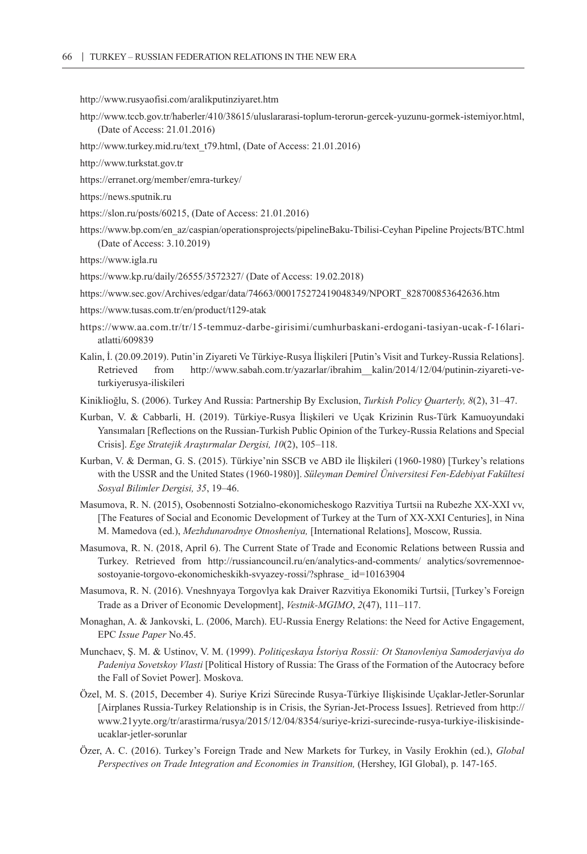<http://www.rusyaofisi.com/aralikputinziyaret.htm>

- <http://www.tccb.gov.tr/haberler/410/38615/uluslararasi-toplum-terorun-gercek-yuzunu-gormek-istemiyor.html>, (Date of Access: 21.01.2016)
- [http://www.turkey.mid.ru/text\\_t79.html,](http://www.turkey.mid.ru/text_t79.html) (Date of Access: 21.01.2016)
- <http://www.turkstat.gov.tr>
- https://erranet.org/member/emra-turkey/
- https://news.sputnik.ru
- [https://slon.ru/posts/60215,](https://slon.ru/posts/60215) (Date of Access: 21.01.2016)
- https://www.bp.com/en\_az/caspian/operationsprojects/pipelineBaku-Tbilisi-Ceyhan Pipeline Projects/BTC.html (Date of Access: 3.10.2019)

<https://www.igla.ru>

- <https://www.kp.ru/daily/26555/3572327/> (Date of Access: 19.02.2018)
- https://www.sec.gov/Archives/edgar/data/74663/000175272419048349/NPORT\_828700853642636.htm
- https://www.tusas.com.tr/en/product/t129-atak
- [https://www.aa.com.tr/tr/15-temmuz-darbe-girisimi/cumhurbaskani-erdogani-tasiyan-ucak-f-16lari](https://www.aa.com.tr/tr/15-temmuz-darbe-girisimi/cumhurbaskani-erdogani-tasiyan-ucak-f-16lari-atlatti/609839)[atlatti/609839](https://www.aa.com.tr/tr/15-temmuz-darbe-girisimi/cumhurbaskani-erdogani-tasiyan-ucak-f-16lari-atlatti/609839)
- Kalin, İ. (20.09.2019). Putin'in Ziyareti Ve Türkiye-Rusya İlişkileri [Putin's Visit and Turkey-Russia Relations]. Retrieved from [http://www.sabah.com.tr/yazarlar/ibrahim\\_\\_kalin/2014/12/04/putinin-ziyareti-ve](http://www.sabah.com.tr/yazarlar/ibrahim__kalin/2014/12/04/putinin-ziyareti-ve-turkiyerusya-iliskileri)[turkiyerusya-iliskileri](http://www.sabah.com.tr/yazarlar/ibrahim__kalin/2014/12/04/putinin-ziyareti-ve-turkiyerusya-iliskileri)
- Kiniklioğlu, S. (2006). Turkey And Russia: Partnership By Exclusion, *Turkish Policy Quarterly, 8*(2), 31–47.
- Kurban, V. & Cabbarli, H. (2019). Türkiye-Rusya İlişkileri ve Uçak Krizinin Rus-Türk Kamuoyundaki Yansımaları [Reflections on the Russian-Turkish Public Opinion of the Turkey-Russia Relations and Special Crisis]. *Ege Stratejik Araştırmalar Dergisi, 10*(2), 105–118.
- Kurban, V. & Derman, G. S. (2015). Türkiye'nin SSCB ve ABD ile İlişkileri (1960-1980) [Turkey's relations with the USSR and the United States (1960-1980)]. *Süleyman Demirel Üniversitesi Fen-Edebiyat Fakültesi Sosyal Bilimler Dergisi, 35*, 19–46.
- Masumova, R. N. (2015), Osobennosti Sotzialno-ekonomicheskogo Razvitiya Turtsii na Rubezhe XX-XXI vv, [The Features of Social and Economic Development of Turkey at the Turn of XX-XXI Centuries], in Nina M. Mamedova (ed.), *Mezhdunarodnye Otnosheniya,* [International Relations], Moscow, Russia.
- Masumova, R. N. (2018, April 6). The Current State of Trade and Economic Relations between Russia and Turkey. Retrieved from http://russiancouncil.ru/en/analytics-and-comments/ analytics/sovremennoesostoyanie-torgovo-ekonomicheskikh-svyazey-rossi/?sphrase\_ id=10163904
- Masumova, R. N. (2016). Vneshnyaya Torgovlya kak Draiver Razvitiya Ekonomiki Turtsii, [Turkey's Foreign Trade as a Driver of Economic Development], *Vestnik-MGIMO*, *2*(47), 111–117.
- Monaghan, A. & Jankovski, L. (2006, March). EU-Russia Energy Relations: the Need for Active Engagement, EPC *Issue Paper* No.45.
- Munchaev, Ş. M. & Ustinov, V. M. (1999). *Politiçeskaya İstoriya Rossii: Ot Stanovleniya Samoderjaviya do Padeniya Sovetskoy Vlasti* [Political History of Russia: The Grass of the Formation of the Autocracy before the Fall of Soviet Power]. Moskova.
- Özel, M. S. (2015, December 4). Suriye Krizi Sürecinde Rusya-Türkiye Ilişkisinde Uçaklar-Jetler-Sorunlar [Airplanes Russia-Turkey Relationship is in Crisis, the Syrian-Jet-Process Issues]. Retrieved from [http://](http://www.21yyte.org/tr/arastirma/rusya/2015/12/04/8354/suriye-krizi-surecinde-rusya-turkiye-iliskisinde-ucaklar-jetler-sorunlar) [www.21yyte.org/tr/arastirma/rusya/2015/12/04/8354/suriye-krizi-surecinde-rusya-turkiye-iliskisinde](http://www.21yyte.org/tr/arastirma/rusya/2015/12/04/8354/suriye-krizi-surecinde-rusya-turkiye-iliskisinde-ucaklar-jetler-sorunlar)[ucaklar-jetler-sorunlar](http://www.21yyte.org/tr/arastirma/rusya/2015/12/04/8354/suriye-krizi-surecinde-rusya-turkiye-iliskisinde-ucaklar-jetler-sorunlar)
- Özer, A. C. (2016). Turkey's Foreign Trade and New Markets for Turkey, in Vasily Erokhin (ed.), *Global Perspectives on Trade Integration and Economies in Transition,* (Hershey, IGI Global), p. 147-165.